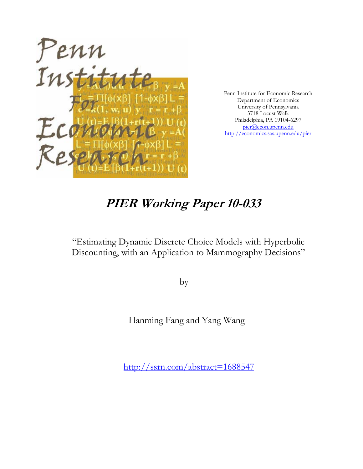

Penn Institute for Economic Research Department of Economics University of Pennsylvania 3718 Locust Walk Philadelphia, PA 19104-6297 pier@econ.upenn.edu http://economics.sas.upenn.edu/pier

# **PIER Working Paper 10-033**

"Estimating Dynamic Discrete Choice Models with Hyperbolic Discounting, with an Application to Mammography Decisions"

by

Hanming Fang and Yang Wang

http://ssrn.com/abstract=1688547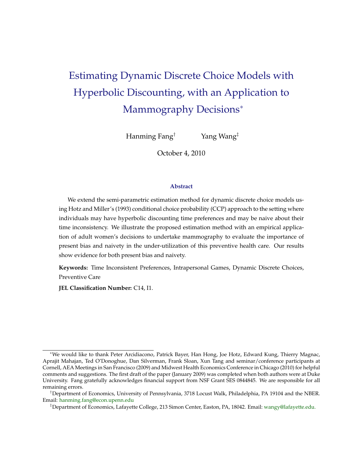# Estimating Dynamic Discrete Choice Models with Hyperbolic Discounting, with an Application to Mammography Decisions<sup>\*</sup>

Hanming Fang† Yang Wang‡

October 4, 2010

#### **Abstract**

We extend the semi-parametric estimation method for dynamic discrete choice models using Hotz and Miller's (1993) conditional choice probability (CCP) approach to the setting where individuals may have hyperbolic discounting time preferences and may be naive about their time inconsistency. We illustrate the proposed estimation method with an empirical application of adult women's decisions to undertake mammography to evaluate the importance of present bias and naivety in the under-utilization of this preventive health care. Our results show evidence for both present bias and naivety.

**Keywords:** Time Inconsistent Preferences, Intrapersonal Games, Dynamic Discrete Choices, Preventive Care

**JEL Classification Number:** C14, I1.

<sup>∗</sup>We would like to thank Peter Arcidiacono, Patrick Bayer, Han Hong, Joe Hotz, Edward Kung, Thierry Magnac, Aprajit Mahajan, Ted O'Donoghue, Dan Silverman, Frank Sloan, Xun Tang and seminar/conference participants at Cornell, AEA Meetings in San Francisco (2009) and Midwest Health Economics Conference in Chicago (2010) for helpful comments and suggestions. The first draft of the paper (January 2009) was completed when both authors were at Duke University. Fang gratefully acknowledges financial support from NSF Grant SES 0844845. We are responsible for all remaining errors.

<sup>†</sup>Department of Economics, University of Pennsylvania, 3718 Locust Walk, Philadelphia, PA 19104 and the NBER. Email: [hanming.fang@econ.upenn.edu](mailto:hanming.fang@econ.upenn.edu)

<sup>‡</sup>Department of Economics, Lafayette College, 213 Simon Center, Easton, PA, 18042. Email: [wangy@lafayette.edu.](mailto:wangy@lafayette.edu)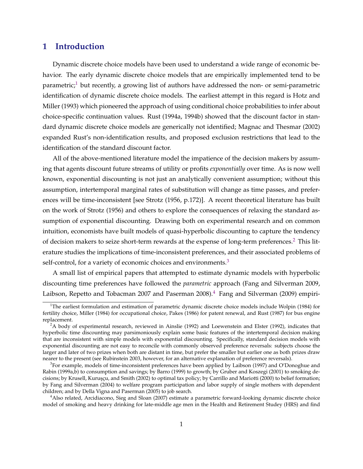## **1 Introduction**

Dynamic discrete choice models have been used to understand a wide range of economic behavior. The early dynamic discrete choice models that are empirically implemented tend to be parametric;<sup>1</sup> but recently, a growing list of authors have addressed the non- or semi-parametric identification of dynamic discrete choice models. The earliest attempt in this regard is Hotz and Miller (1993) which pioneered the approach of using conditional choice probabilities to infer about choice-specific continuation values. Rust (1994a, 1994b) showed that the discount factor in standard dynamic discrete choice models are generically not identified; Magnac and Thesmar (2002) expanded Rust's non-identification results, and proposed exclusion restrictions that lead to the identification of the standard discount factor.

All of the above-mentioned literature model the impatience of the decision makers by assuming that agents discount future streams of utility or profits *exponentially* over time. As is now well known, exponential discounting is not just an analytically convenient assumption; without this assumption, intertemporal marginal rates of substitution will change as time passes, and preferences will be time-inconsistent [see Strotz (1956, p.172)]. A recent theoretical literature has built on the work of Strotz (1956) and others to explore the consequences of relaxing the standard assumption of exponential discounting. Drawing both on experimental research and on common intuition, economists have built models of quasi-hyperbolic discounting to capture the tendency of decision makers to seize short-term rewards at the expense of long-term preferences.<sup>2</sup> This literature studies the implications of time-inconsistent preferences, and their associated problems of self-control, for a variety of economic choices and environments.<sup>3</sup>

A small list of empirical papers that attempted to estimate dynamic models with hyperbolic discounting time preferences have followed the *parametric* approach (Fang and Silverman 2009, Laibson, Repetto and Tobacman 2007 and Paserman 2008).<sup>4</sup> Fang and Silverman (2009) empiri-

<sup>&</sup>lt;sup>1</sup>The earliest formulation and estimation of parametric dynamic discrete choice models include Wolpin (1984) for fertility choice, Miller (1984) for occupational choice, Pakes (1986) for patent renewal, and Rust (1987) for bus engine replacement.

<sup>&</sup>lt;sup>2</sup>A body of experimental research, reviewed in Ainslie (1992) and Loewenstein and Elster (1992), indicates that hyperbolic time discounting may parsimoniously explain some basic features of the intertemporal decision making that are inconsistent with simple models with exponential discounting. Specifically, standard decision models with exponential discounting are not easy to reconcile with commonly observed preference reversals: subjects choose the larger and later of two prizes when both are distant in time, but prefer the smaller but earlier one as both prizes draw nearer to the present (see Rubinstein 2003, however, for an alternative explanation of preference reversals).

<sup>&</sup>lt;sup>3</sup>For example, models of time-inconsistent preferences have been applied by Laibson (1997) and O'Donoghue and Rabin (1999a,b) to consumption and savings; by Barro (1999) to growth; by Gruber and Koszegi (2001) to smoking decisions; by Krusell, Kuruşçu, and Smith (2002) to optimal tax policy; by Carrillo and Mariotti (2000) to belief formation; by Fang and Silverman (2004) to welfare program participation and labor supply of single mothers with dependent children; and by Della Vigna and Paserman (2005) to job search.

<sup>&</sup>lt;sup>4</sup>Also related, Arcidiacono, Sieg and Sloan (2007) estimate a parametric forward-looking dynamic discrete choice model of smoking and heavy drinking for late-middle age men in the Health and Retirement Studey (HRS) and find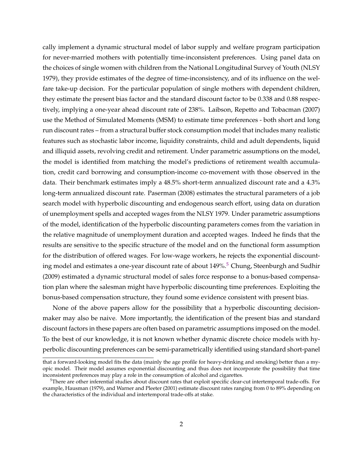cally implement a dynamic structural model of labor supply and welfare program participation for never-married mothers with potentially time-inconsistent preferences. Using panel data on the choices of single women with children from the National Longitudinal Survey of Youth (NLSY 1979), they provide estimates of the degree of time-inconsistency, and of its influence on the welfare take-up decision. For the particular population of single mothers with dependent children, they estimate the present bias factor and the standard discount factor to be 0.338 and 0.88 respectively, implying a one-year ahead discount rate of 238%. Laibson, Repetto and Tobacman (2007) use the Method of Simulated Moments (MSM) to estimate time preferences - both short and long run discount rates – from a structural buffer stock consumption model that includes many realistic features such as stochastic labor income, liquidity constraints, child and adult dependents, liquid and illiquid assets, revolving credit and retirement. Under parametric assumptions on the model, the model is identified from matching the model's predictions of retirement wealth accumulation, credit card borrowing and consumption-income co-movement with those observed in the data. Their benchmark estimates imply a 48.5% short-term annualized discount rate and a 4.3% long-term annualized discount rate. Paserman (2008) estimates the structural parameters of a job search model with hyperbolic discounting and endogenous search effort, using data on duration of unemployment spells and accepted wages from the NLSY 1979. Under parametric assumptions of the model, identification of the hyperbolic discounting parameters comes from the variation in the relative magnitude of unemployment duration and accepted wages. Indeed he finds that the results are sensitive to the specific structure of the model and on the functional form assumption for the distribution of offered wages. For low-wage workers, he rejects the exponential discounting model and estimates a one-year discount rate of about 149%.<sup>5</sup> Chung, Steenburgh and Sudhir (2009) estimated a dynamic structural model of sales force response to a bonus-based compensation plan where the salesman might have hyperbolic discounting time preferences. Exploiting the bonus-based compensation structure, they found some evidence consistent with present bias.

None of the above papers allow for the possibility that a hyperbolic discounting decisionmaker may also be naive. More importantly, the identification of the present bias and standard discount factors in these papers are often based on parametric assumptions imposed on the model. To the best of our knowledge, it is not known whether dynamic discrete choice models with hyperbolic discounting preferences can be semi-parametrically identified using standard short-panel

that a forward-looking model fits the data (mainly the age profile for heavy-drinking and smoking) better than a myopic model. Their model assumes exponential discounting and thus does not incorporate the possibility that time inconsistent preferences may play a role in the consumption of alcohol and cigarettes.

 $5$ There are other inferential studies about discount rates that exploit specific clear-cut intertemporal trade-offs. For example, Hausman (1979), and Warner and Pleeter (2001) estimate discount rates ranging from 0 to 89% depending on the characteristics of the individual and intertemporal trade-offs at stake.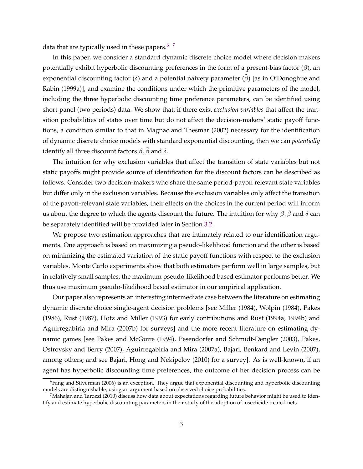data that are typically used in these papers.<sup>6, 7</sup>

In this paper, we consider a standard dynamic discrete choice model where decision makers potentially exhibit hyperbolic discounting preferences in the form of a present-bias factor  $(\beta)$ , an exponential discounting factor ( $\delta$ ) and a potential naivety parameter ( $\beta$ ) [as in O'Donoghue and Rabin (1999a)], and examine the conditions under which the primitive parameters of the model, including the three hyperbolic discounting time preference parameters, can be identified using short-panel (two periods) data. We show that, if there exist *exclusion variables* that affect the transition probabilities of states over time but do not affect the decision-makers' static payoff functions, a condition similar to that in Magnac and Thesmar (2002) necessary for the identification of dynamic discrete choice models with standard exponential discounting, then we can *potentially* identify all three discount factors  $\beta$ ,  $\beta$  and  $\delta$ .

The intuition for why exclusion variables that affect the transition of state variables but not static payoffs might provide source of identification for the discount factors can be described as follows. Consider two decision-makers who share the same period-payoff relevant state variables but differ only in the exclusion variables. Because the exclusion variables only affect the transition of the payoff-relevant state variables, their effects on the choices in the current period will inform us about the degree to which the agents discount the future. The intuition for why  $\beta$ ,  $\tilde{\beta}$  and  $\delta$  can be separately identified will be provided later in Section [3.2.](#page-15-0)

We propose two estimation approaches that are intimately related to our identification arguments. One approach is based on maximizing a pseudo-likelihood function and the other is based on minimizing the estimated variation of the static payoff functions with respect to the exclusion variables. Monte Carlo experiments show that both estimators perform well in large samples, but in relatively small samples, the maximum pseudo-likelihood based estimator performs better. We thus use maximum pseudo-likelihood based estimator in our empirical application.

Our paper also represents an interesting intermediate case between the literature on estimating dynamic discrete choice single-agent decision problems [see Miller (1984), Wolpin (1984), Pakes (1986), Rust (1987), Hotz and Miller (1993) for early contributions and Rust (1994a, 1994b) and Aguirregabiria and Mira (2007b) for surveys] and the more recent literature on estimating dynamic games [see Pakes and McGuire (1994), Pesendorfer and Schmidt-Dengler (2003), Pakes, Ostrovsky and Berry (2007), Aguirregabiria and Mira (2007a), Bajari, Benkard and Levin (2007), among others; and see Bajari, Hong and Nekipelov (2010) for a survey]. As is well-known, if an agent has hyperbolic discounting time preferences, the outcome of her decision process can be

<sup>&</sup>lt;sup>6</sup>Fang and Silverman (2006) is an exception. They argue that exponential discounting and hyperbolic discounting models are distinguishable, using an argument based on observed choice probabilities.

 $^7$ Mahajan and Tarozzi (2010) discuss how data about expectations regarding future behavior might be used to identify and estimate hyperbolic discounting parameters in their study of the adoption of insecticide treated nets.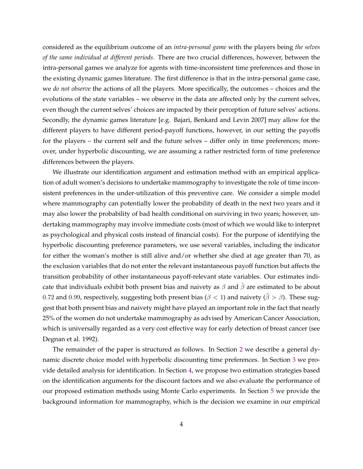considered as the equilibrium outcome of an *intra-personal game* with the players being *the selves of the same individual at different periods.* There are two crucial differences, however, between the intra-personal games we analyze for agents with time-inconsistent time preferences and those in the existing dynamic games literature. The first difference is that in the intra-personal game case, we *do not observe* the actions of all the players. More specifically, the outcomes – choices and the evolutions of the state variables – we observe in the data are affected only by the current selves, even though the current selves' choices are impacted by their perception of future selves' actions. Secondly, the dynamic games literature [e.g. Bajari, Benkard and Levin 2007] may allow for the different players to have different period-payoff functions, however, in our setting the payoffs for the players – the current self and the future selves – differ only in time preferences; moreover, under hyperbolic discounting, we are assuming a rather restricted form of time preference differences between the players.

We illustrate our identification argument and estimation method with an empirical application of adult women's decisions to undertake mammography to investigate the role of time inconsistent preferences in the under-utilization of this preventive care. We consider a simple model where mammography can potentially lower the probability of death in the next two years and it may also lower the probability of bad health conditional on surviving in two years; however, undertaking mammography may involve immediate costs (most of which we would like to interpret as psychological and physical costs instead of financial costs). For the purpose of identifying the hyperbolic discounting preference parameters, we use several variables, including the indicator for either the woman's mother is still alive and/or whether she died at age greater than 70, as the exclusion variables that do not enter the relevant instantaneous payoff function but affects the transition probability of other instantaneous payoff-relevant state variables. Our estimates indicate that individuals exhibit both present bias and naivety as  $\beta$  and  $\beta$  are estimated to be about 0.72 and 0.99, respectively, suggesting both present bias ( $\beta$  < 1) and naivety ( $\tilde{\beta} > \beta$ ). These suggest that both present bias and naivety might have played an important role in the fact that nearly 25% of the women do not undertake mammography as advised by American Cancer Association, which is universally regarded as a very cost effective way for early detection of breast cancer (see Degnan et al. 1992).

The remainder of the paper is structured as follows. In Section [2](#page-6-0) we describe a general dynamic discrete choice model with hyperbolic discounting time preferences. In Section [3](#page-14-0) we provide detailed analysis for identification. In Section [4,](#page-21-0) we propose two estimation strategies based on the identification arguments for the discount factors and we also evaluate the performance of our proposed estimation methods using Monte Carlo experiments. In Section [5](#page-24-0) we provide the background information for mammography, which is the decision we examine in our empirical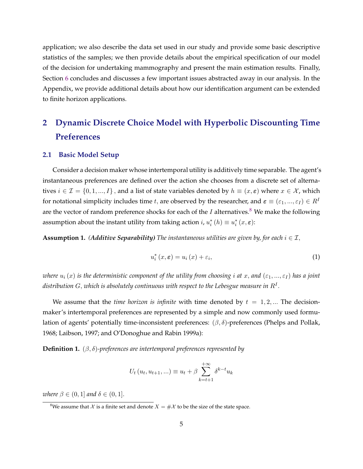<span id="page-6-0"></span>application; we also describe the data set used in our study and provide some basic descriptive statistics of the samples; we then provide details about the empirical specification of our model of the decision for undertaking mammography and present the main estimation results. Finally, Section [6](#page-37-0) concludes and discusses a few important issues abstracted away in our analysis. In the Appendix, we provide additional details about how our identification argument can be extended to finite horizon applications.

# **2 Dynamic Discrete Choice Model with Hyperbolic Discounting Time Preferences**

#### **2.1 Basic Model Setup**

Consider a decision maker whose intertemporal utility is additively time separable. The agent's instantaneous preferences are defined over the action she chooses from a discrete set of alternatives  $i \in \mathcal{I} = \{0, 1, ..., I\}$ , and a list of state variables denoted by  $h \equiv (x, \varepsilon)$  where  $x \in \mathcal{X}$ , which for notational simplicity includes time t, are observed by the researcher, and  $\varepsilon \equiv (\varepsilon_1, ..., \varepsilon_I) \in R^I$ are the vector of random preference shocks for each of the  $I$  alternatives.<sup>8</sup> We make the following assumption about the instant utility from taking action  $i$ ,  $u_i^*(h) \equiv u_i^*(x, \varepsilon)$ :

**Assumption 1.** *(Additive Separability)* The instantaneous utilities are given by, for each  $i \in \mathcal{I}$ ,

$$
u_i^*(x,\varepsilon) = u_i(x) + \varepsilon_i,\tag{1}
$$

*where*  $u_i(x)$  *is the deterministic component of the utility from choosing <i>i* at x, and  $(\varepsilon_1, ..., \varepsilon_I)$  has a joint distribution  $G,$  which is absolutely continuous with respect to the Lebesgue measure in  $R^I.$ 

We assume that the *time horizon is infinite* with time denoted by  $t = 1, 2, ...$  The decisionmaker's intertemporal preferences are represented by a simple and now commonly used formulation of agents' potentially time-inconsistent preferences:  $(\beta, \delta)$ -preferences (Phelps and Pollak, 1968; Laibson, 1997; and O'Donoghue and Rabin 1999a):

**Definition 1.**  $(\beta, \delta)$ *-preferences are intertemporal preferences represented by* 

$$
U_t (u_t, u_{t+1}, \ldots) \equiv u_t + \beta \sum_{k=t+1}^{+\infty} \delta^{k-t} u_k
$$

*where*  $\beta \in (0, 1]$  *and*  $\delta \in (0, 1]$ .

<sup>&</sup>lt;sup>8</sup>We assume that  $\mathcal X$  is a finite set and denote  $X = \#\mathcal X$  to be the size of the state space.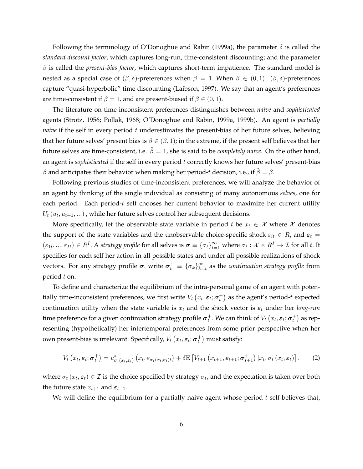<span id="page-7-0"></span>Following the terminology of O'Donoghue and Rabin (1999a), the parameter  $\delta$  is called the *standard discount factor*, which captures long-run, time-consistent discounting; and the parameter  $\beta$  is called the *present-bias factor*, which captures short-term impatience. The standard model is nested as a special case of  $(\beta, \delta)$ -preferences when  $\beta = 1$ . When  $\beta \in (0, 1)$ ,  $(\beta, \delta)$ -preferences capture "quasi-hyperbolic" time discounting (Laibson, 1997). We say that an agent's preferences are time-consistent if  $\beta = 1$ , and are present-biased if  $\beta \in (0, 1)$ .

The literature on time-inconsistent preferences distinguishes between *naive* and *sophisticated* agents (Strotz, 1956; Pollak, 1968; O'Donoghue and Rabin, 1999a, 1999b). An agent is *partially naive* if the self in every period  $t$  underestimates the present-bias of her future selves, believing that her future selves' present bias is  $\hat{\beta} \in (\beta, 1)$ ; in the extreme, if the present self believes that her future selves are time-consistent, i.e.  $\tilde{\beta} = 1$ , she is said to be *completely naive*. On the other hand, an agent is *sophisticated* if the self in every period t correctly knows her future selves' present-bias  $\beta$  and anticipates their behavior when making her period-t decision, i.e., if  $\beta = \beta$ .

Following previous studies of time-inconsistent preferences, we will analyze the behavior of an agent by thinking of the single individual as consisting of many autonomous *selves,* one for each period. Each period- $t$  self chooses her current behavior to maximize her current utility  $U_t$   $(u_t, u_{t+1}, ...)$  , while her future selves control her subsequent decisions.

More specifically, let the observable state variable in period t be  $x_t \in \mathcal{X}$  where  $\mathcal{X}$  denotes the support of the state variables and the unobservable choice-specific shock  $\varepsilon_{it} \in R$ , and  $\varepsilon_t =$  $(\varepsilon_{1t},...,\varepsilon_{It})\in R^I$ . A *strategy profile* for all selves is  $\boldsymbol{\sigma}\equiv\{\sigma_t\}_{t=1}^\infty$  where  $\sigma_t:\mathcal{X}\times R^I\to\mathcal{I}$  for all  $t$ . It specifies for each self her action in all possible states and under all possible realizations of shock vectors. For any strategy profile  $\boldsymbol{\sigma},$  write  $\boldsymbol{\sigma}_t^+ \, \equiv \, \{\sigma_k\}_{k=1}^\infty$  $_{k=t}^{\infty}$  as the *continuation strategy profile* from period  $t$  on.

To define and characterize the equilibrium of the intra-personal game of an agent with potentially time-inconsistent preferences, we first write  $V_t\left(x_t, \boldsymbol{\varepsilon}_t; \boldsymbol{\sigma}_t^+\right)$  as the agent's period- $t$  expected continuation utility when the state variable is  $x_t$  and the shock vector is  $\varepsilon_t$  under her *long-run* time preference for a given continuation strategy profile  $\bm{\sigma}_t^+$ . We can think of  $V_t\left(x_t, \bm{\varepsilon}_t; \bm{\sigma}_t^+\right)$  as representing (hypothetically) her intertemporal preferences from some prior perspective when her own present-bias is irrelevant. Specifically,  $V_t\left(x_t, \boldsymbol{\varepsilon}_t; \boldsymbol{\sigma}_t^{+}\right)$  must satisfy:

$$
V_t\left(x_t, \varepsilon_t; \sigma_t^+\right) = u^*_{\sigma_t\left(x_t, \varepsilon_t\right)}\left(x_t, \varepsilon_{\sigma_t\left(x_t, \varepsilon_t\right)t}\right) + \delta \mathbf{E}\left[V_{t+1}\left(x_{t+1}, \varepsilon_{t+1}; \sigma_{t+1}^+\right) | x_t, \sigma_t\left(x_t, \varepsilon_t\right)\right],\tag{2}
$$

where  $\sigma_t(x_t, \varepsilon_t) \in \mathcal{I}$  is the choice specified by strategy  $\sigma_t$ , and the expectation is taken over both the future state  $x_{t+1}$  and  $\varepsilon_{t+1}$ .

We will define the equilibrium for a partially naive agent whose period- $t$  self believes that,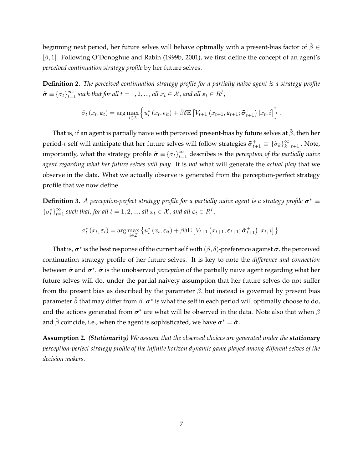<span id="page-8-0"></span>beginning next period, her future selves will behave optimally with a present-bias factor of  $\tilde{\beta} \in$  $[\beta, 1]$ . Following O'Donoghue and Rabin (1999b, 2001), we first define the concept of an agent's *perceived continuation strategy profile* by her future selves.

**Definition 2.** *The perceived continuation strategy profile for a partially naive agent is a strategy profile*  $\tilde{\boldsymbol{\sigma}} \equiv \{\tilde{\sigma}_t\}_{t=1}^{\infty}$  such that for all  $t = 1, 2, ...,$  all  $x_t \in \mathcal{X}$ , and all  $\boldsymbol{\varepsilon}_t \in R^I$ ,

$$
\tilde{\sigma}_t(x_t, \varepsilon_t) = \arg \max_{i \in \mathcal{I}} \left\{ u_i^* (x_t, \epsilon_{it}) + \tilde{\beta} \delta \mathbf{E} \left[ V_{t+1} (x_{t+1}, \varepsilon_{t+1}; \tilde{\sigma}_{t+1}^+) | x_t, i \right] \right\}.
$$

That is, if an agent is partially naive with perceived present-bias by future selves at  $\hat{\beta}$ , then her period- $t$  self will anticipate that her future selves will follow strategies  $\tilde{\pmb{\sigma}}^+_{t+1}\equiv\{\tilde{\sigma}_k\}_{k=t+1}^\infty$  . Note, importantly, what the strategy profile  $\tilde{\pmb{\sigma}} \equiv \{\tilde{\sigma}_t\}_{t=1}^\infty$  describes is the *perception of the partially naive agent regarding what her future selves will play.* It is *not* what will generate the *actual play* that we observe in the data. What we actually observe is generated from the perception-perfect strategy profile that we now define.

**Definition 3.** *A perception-perfect strategy profile for a partially naive agent is a strategy profile*  $\sigma^* \equiv$  $\{\sigma_t^*\}_{t=1}^{\infty}$  such that, for all  $t = 1, 2, ...,$  all  $x_t \in \mathcal{X}$ , and all  $\varepsilon_t \in \mathbb{R}^I$ ,

$$
\sigma_t^*(x_t, \varepsilon_t) = \arg \max_{i \in \mathcal{I}} \left\{ u_i^*(x_t, \varepsilon_{it}) + \beta \delta \mathbf{E} \left[ V_{t+1}\left(x_{t+1}, \varepsilon_{t+1}; \tilde{\pmb{\sigma}}_{t+1}^+\right) | x_t, i \right] \right\}.
$$

That is,  $\sigma^*$  is the best response of the current self with  $(\beta, \delta)$ -preference against  $\tilde{\sigma}$ , the perceived continuation strategy profile of her future selves. It is key to note the *difference and connection* between  $\tilde{\sigma}$  and  $\sigma^*$ .  $\tilde{\sigma}$  is the unobserved *perception* of the partially naive agent regarding what her future selves will do, under the partial naivety assumption that her future selves do not suffer from the present bias as described by the parameter  $\beta$ , but instead is governed by present bias parameter  $\tilde{\beta}$  that may differ from  $\beta.$   $\bm{\sigma}^*$  is what the self in each period will optimally choose to do, and the actions generated from  $\sigma^*$  are what will be observed in the data. Note also that when  $\beta$ and  $\tilde{\beta}$  coincide, i.e., when the agent is sophisticated, we have  $\boldsymbol{\sigma}^*=\tilde{\boldsymbol{\sigma}}.$ 

**Assumption 2.** *(Stationarity) We assume that the observed choices are generated under the stationary perception-perfect strategy profile of the infinite horizon dynamic game played among different selves of the decision makers.*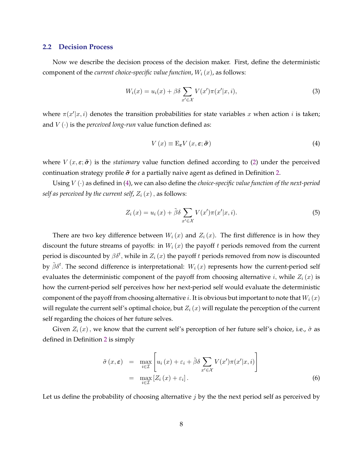#### <span id="page-9-0"></span>**2.2 Decision Process**

Now we describe the decision process of the decision maker. First, define the deterministic component of the *current choice-specific value function*,  $W_i(x)$ , as follows:

$$
W_i(x) = u_i(x) + \beta \delta \sum_{x' \in \mathcal{X}} V(x') \pi(x'|x, i), \tag{3}
$$

where  $\pi(x'|x, i)$  denotes the transition probabilities for state variables x when action i is taken; and  $V(\cdot)$  is the *perceived long-run* value function defined as:

$$
V(x) \equiv \mathcal{E}_{\varepsilon} V(x, \varepsilon; \tilde{\sigma})
$$
 (4)

where  $V(x, \varepsilon; \tilde{\sigma})$  is the *stationary* value function defined according to [\(2\)](#page-7-0) under the perceived continuation strategy profile  $\tilde{\sigma}$  for a partially naive agent as defined in Definition [2.](#page-8-0)

Using  $V(\cdot)$  as defined in (4), we can also define the *choice-specific value function of the next-period self as perceived by the current self,*  $Z_i(x)$ , as follows:

$$
Z_i(x) = u_i(x) + \tilde{\beta}\delta \sum_{x' \in \mathcal{X}} V(x')\pi(x'|x, i).
$$
 (5)

There are two key difference between  $W_i(x)$  and  $Z_i(x)$ . The first difference is in how they discount the future streams of payoffs: in  $W_i(x)$  the payoff t periods removed from the current period is discounted by  $\beta\delta^t$ , while in  $Z_i\left(x\right)$  the payoff  $t$  periods removed from now is discounted by  $\tilde{\beta} \delta^t$ . The second difference is interpretational:  $W_i(x)$  represents how the current-period self evaluates the deterministic component of the payoff from choosing alternative i, while  $Z_i(x)$  is how the current-period self perceives how her next-period self would evaluate the deterministic component of the payoff from choosing alternative *i*. It is obvious but important to note that  $W_i(x)$ will regulate the current self's optimal choice, but  $Z_i(x)$  will regulate the perception of the current self regarding the choices of her future selves.

Given  $Z_i(x)$ , we know that the current self's perception of her future self's choice, i.e.,  $\tilde{\sigma}$  as defined in Definition [2](#page-8-0) is simply

$$
\tilde{\sigma}(x,\varepsilon) = \max_{i \in \mathcal{I}} \left[ u_i(x) + \varepsilon_i + \tilde{\beta} \delta \sum_{x' \in \mathcal{X}} V(x') \pi(x'|x,i) \right]
$$

$$
= \max_{i \in \mathcal{I}} \left[ Z_i(x) + \varepsilon_i \right]. \tag{6}
$$

Let us define the probability of choosing alternative  $j$  by the the next period self as perceived by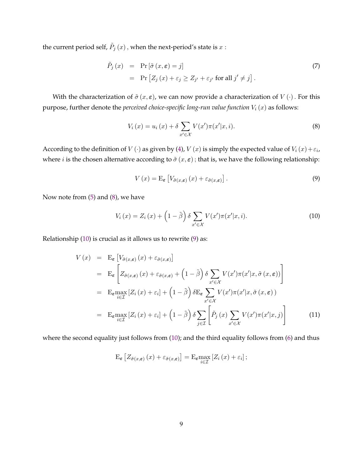<span id="page-10-0"></span>the current period self,  $\tilde{P}_j\left(x\right)$  , when the next-period's state is  $x$  :

$$
\tilde{P}_j(x) = \Pr[\tilde{\sigma}(x,\varepsilon) = j] \n= \Pr[Z_j(x) + \varepsilon_j \ge Z_{j'} + \varepsilon_{j'} \text{ for all } j' \ne j].
$$
\n(7)

With the characterization of  $\tilde{\sigma}(x, \varepsilon)$ , we can now provide a characterization of  $V(\cdot)$ . For this purpose, further denote the *perceived choice-specific long-run value function*  $V_i(x)$  as follows:

$$
V_i(x) = u_i(x) + \delta \sum_{x' \in \mathcal{X}} V(x') \pi(x'|x, i).
$$
 (8)

According to the definition of  $V(\cdot)$  as given by [\(4\)](#page-9-0),  $V(x)$  is simply the expected value of  $V_i(x)+\varepsilon_i$ , where *i* is the chosen alternative according to  $\tilde{\sigma}(x, \varepsilon)$ ; that is, we have the following relationship:

$$
V(x) = \mathcal{E}_{\varepsilon} \left[ V_{\tilde{\sigma}(x,\varepsilon)} \left( x \right) + \varepsilon_{\tilde{\sigma}(x,\varepsilon)} \right]. \tag{9}
$$

Now note from [\(5\)](#page-9-0) and (8), we have

$$
V_i(x) = Z_i(x) + \left(1 - \tilde{\beta}\right) \delta \sum_{x' \in \mathcal{X}} V(x') \pi(x'|x, i). \tag{10}
$$

Relationship (10) is crucial as it allows us to rewrite (9) as:

$$
V(x) = \mathbf{E}_{\varepsilon} \left[ V_{\tilde{\sigma}(x,\varepsilon)}(x) + \varepsilon_{\tilde{\sigma}(x,\varepsilon)} \right]
$$
  
\n
$$
= \mathbf{E}_{\varepsilon} \left[ Z_{\tilde{\sigma}(x,\varepsilon)}(x) + \varepsilon_{\tilde{\sigma}(x,\varepsilon)} + \left( 1 - \tilde{\beta} \right) \delta \sum_{x' \in \mathcal{X}} V(x') \pi(x'|x, \tilde{\sigma}(x, \varepsilon)) \right]
$$
  
\n
$$
= \mathbf{E}_{\varepsilon} \max_{i \in \mathcal{I}} \left[ Z_i(x) + \varepsilon_i \right] + \left( 1 - \tilde{\beta} \right) \delta \mathbf{E}_{\varepsilon} \sum_{x' \in \mathcal{X}} V(x') \pi(x'|x, \tilde{\sigma}(x, \varepsilon))
$$
  
\n
$$
= \mathbf{E}_{\varepsilon} \max_{i \in \mathcal{I}} \left[ Z_i(x) + \varepsilon_i \right] + \left( 1 - \tilde{\beta} \right) \delta \sum_{j \in \mathcal{I}} \left[ \tilde{P}_j(x) \sum_{x' \in \mathcal{X}} V(x') \pi(x'|x, j) \right]
$$
(11)

where the second equality just follows from (10); and the third equality follows from [\(6\)](#page-9-0) and thus

$$
\mathrm{E}_{\boldsymbol{\varepsilon}}\left[Z_{\tilde{\sigma}(x,\boldsymbol{\varepsilon})}\left(x\right)+\varepsilon_{\tilde{\sigma}(x,\boldsymbol{\varepsilon})}\right]=\mathrm{E}_{\boldsymbol{\varepsilon}}\underset{i\in\mathcal{I}}{\max}\left[Z_{i}\left(x\right)+\varepsilon_{i}\right];
$$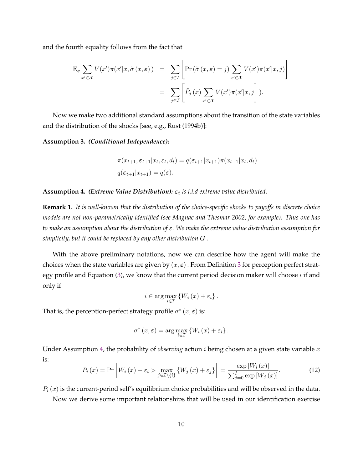<span id="page-11-0"></span>and the fourth equality follows from the fact that

$$
\begin{split} \mathcal{E}_{\varepsilon} \sum_{x' \in \mathcal{X}} V(x') \pi(x'|x, \tilde{\sigma}(x, \varepsilon)) &= \sum_{j \in \mathcal{I}} \left[ \Pr\left(\tilde{\sigma}(x, \varepsilon) = j\right) \sum_{x' \in \mathcal{X}} V(x') \pi(x'|x, j) \right] \\ &= \sum_{j \in \mathcal{I}} \left[ \tilde{P}_j(x) \sum_{x' \in \mathcal{X}} V(x') \pi(x'|x, j) \right]. \end{split}
$$

Now we make two additional standard assumptions about the transition of the state variables and the distribution of the shocks [see, e.g., Rust (1994b)]:

**Assumption 3.** *(Conditional Independence):*

$$
\pi(x_{t+1}, \varepsilon_{t+1}|x_t, \varepsilon_t, d_t) = q(\varepsilon_{t+1}|x_{t+1})\pi(x_{t+1}|x_t, d_t)
$$
  

$$
q(\varepsilon_{t+1}|x_{t+1}) = q(\varepsilon).
$$

**Assumption 4.** (Extreme Value Distribution):  $\varepsilon_t$  is i.i.d extreme value distributed.

**Remark 1.** *It is well-known that the distribution of the choice-specific shocks to payoffs in discrete choice models are not non-parametrically identified (see Magnac and Thesmar 2002, for example). Thus one has to make an assumption about the distribution of*  $\varepsilon$ . *We make the extreme value distribution assumption for simplicity, but it could be replaced by any other distribution G.* 

With the above preliminary notations, now we can describe how the agent will make the choices when the state variables are given by  $(x, \varepsilon)$ . From Definition [3](#page-8-0) for perception perfect strategy profile and Equation  $(3)$ , we know that the current period decision maker will choose  $i$  if and only if

 $i \in \arg \max_{i \in \mathcal{I}} \left\{ W_i(x) + \varepsilon_i \right\}.$ 

That is, the perception-perfect strategy profile  $\sigma^*(x, \varepsilon)$  is:

$$
\sigma^*(x,\varepsilon) = \arg\max_{i \in \mathcal{I}} \left\{ W_i(x) + \varepsilon_i \right\}.
$$

Under Assumption 4, the probability of *observing* action  $i$  being chosen at a given state variable  $x$ is:

$$
P_i(x) = \Pr\left[W_i(x) + \varepsilon_i > \max_{j \in \mathcal{I} \setminus \{i\}} \{W_j(x) + \varepsilon_j\}\right] = \frac{\exp\left[W_i(x)\right]}{\sum_{j=0}^I \exp\left[W_j(x)\right]}.
$$
 (12)

 $P_i(x)$  is the current-period self's equilibrium choice probabilities and will be observed in the data.

Now we derive some important relationships that will be used in our identification exercise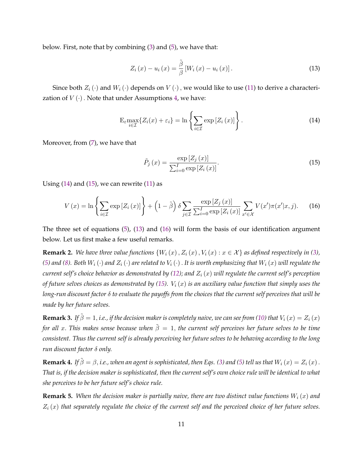<span id="page-12-0"></span>below. First, note that by combining [\(3\)](#page-9-0) and [\(5\)](#page-9-0), we have that:

$$
Z_{i}(x) - u_{i}(x) = \frac{\tilde{\beta}}{\beta} \left[ W_{i}(x) - u_{i}(x) \right]. \tag{13}
$$

Since both  $Z_i(\cdot)$  and  $W_i(\cdot)$  depends on  $V(\cdot)$ , we would like to use [\(11\)](#page-10-0) to derive a characterization of  $V(\cdot)$ . Note that under Assumptions [4,](#page-11-0) we have:

$$
\mathcal{E}_{\varepsilon} \max_{i \in \mathcal{I}} \{ Z_i(x) + \varepsilon_i \} = \ln \left\{ \sum_{i \in \mathcal{I}} \exp \left[ Z_i(x) \right] \right\}.
$$
 (14)

Moreover, from [\(7\)](#page-10-0), we have that

$$
\tilde{P}_j\left(x\right) = \frac{\exp\left[Z_j\left(x\right)\right]}{\sum_{i=0}^I \exp\left[Z_i\left(x\right)\right]}.\tag{15}
$$

Using  $(14)$  and  $(15)$ , we can rewrite  $(11)$  as

$$
V(x) = \ln \left\{ \sum_{i \in \mathcal{I}} \exp \left[ Z_i(x) \right] \right\} + \left( 1 - \tilde{\beta} \right) \delta \sum_{j \in \mathcal{I}} \frac{\exp \left[ Z_j(x) \right]}{\sum_{i=0}^I \exp \left[ Z_i(x) \right]} \sum_{x' \in \mathcal{X}} V(x') \pi(x'|x, j). \tag{16}
$$

The three set of equations [\(5\)](#page-9-0), (13) and (16) will form the basis of our identification argument below. Let us first make a few useful remarks.

**Remark 2.** We have three value functions  $\{W_i(x), Z_i(x), V_i(x) : x \in \mathcal{X}\}\$ as defined respectively in [\(3\)](#page-9-0),  $(5)$  and  $(8)$ *.* Both  $W_i(\cdot)$  and  $Z_i(\cdot)$  are related to  $V_i(\cdot)$  . It is worth emphasizing that  $W_i(x)$  will regulate the *current self's choice behavior as demonstrated by [\(12\)](#page-11-0); and*  $Z_i(x)$  *will regulate the current self's perception of future selves choices as demonstrated by (15).*  $V_i(x)$  *is an auxiliary value function that simply uses the long-run discount factor*  $\delta$  *to evaluate the payoffs from the choices that the current self perceives that will be made by her future selves.*

**Remark 3.** *If*  $\tilde{\beta} = 1$ , *i.e., if the decision maker is completely naive, we can see from [\(10\)](#page-10-0) that*  $V_i(x) = Z_i(x)$ *for all x. This makes sense because when*  $\tilde{\beta} = 1$ , *the current self perceives her future selves to be time consistent. Thus the current self is already perceiving her future selves to be behaving according to the long run discount factor δ only.* 

**Remark 4.** *If*  $\tilde{\beta} = \beta$ , *i.e., when an agent is sophisticated, then Eqs. [\(3\)](#page-9-0) and [\(5\)](#page-9-0) tell us that*  $W_i(x) = Z_i(x)$ . *That is, if the decision maker is sophisticated, then the current self's own choice rule will be identical to what she perceives to be her future self's choice rule.*

**Remark 5.** *When the decision maker is partially naive, there are two distinct value functions*  $W_i(x)$  *and*  $Z_i(x)$  that separately regulate the choice of the current self and the perceived choice of her future selves.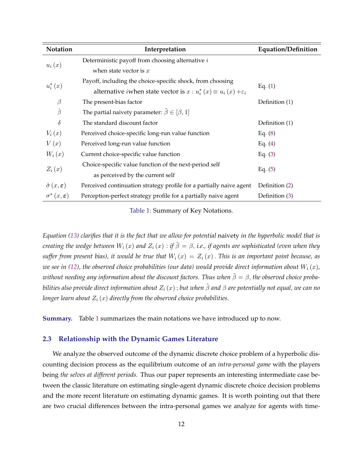| Notation                                          | Interpretation                                                                         | <b>Equation/Definition</b> |  |
|---------------------------------------------------|----------------------------------------------------------------------------------------|----------------------------|--|
| $u_i(x)$                                          | Deterministic payoff from choosing alternative i                                       |                            |  |
|                                                   | when state vector is $x$                                                               |                            |  |
|                                                   | Payoff, including the choice-specific shock, from choosing                             |                            |  |
| $u_i^*(x)$                                        | alternative <i>i</i> when state vector is $x : u_i^*(x) \equiv u_i(x) + \varepsilon_i$ | Eq. $(1)$                  |  |
| $\beta$                                           | The present-bias factor                                                                | Definition (1)             |  |
| $\tilde{\beta}$                                   | The partial naivety parameter: $\tilde{\beta} \in [\beta, 1]$                          |                            |  |
| $\delta$                                          | The standard discount factor                                                           | Definition (1)             |  |
| $V_i(x)$                                          | Perceived choice-specific long-run value function                                      | Eq. $(8)$                  |  |
| V(x)                                              | Perceived long-run value function                                                      | Eq. $(4)$                  |  |
| $W_i(x)$                                          | Current choice-specific value function                                                 | Eq. $(3)$                  |  |
| $Z_i(x)$                                          | Choice-specific value function of the next-period self                                 |                            |  |
|                                                   | as perceived by the current self                                                       | Eq. $(5)$                  |  |
| $\tilde{\sigma}(x,\epsilon)$                      | Perceived continuation strategy profile for a partially naive agent                    | Definition (2)             |  |
| $\sigma^*\left(x,\boldsymbol{\varepsilon}\right)$ | Perception-perfect strategy profile for a partially naive agent                        | Definition (3)             |  |

Table 1: Summary of Key Notations.

*Equation [\(13\)](#page-12-0) clarifies that it is the fact that we allow for potential* naivety *in the hyperbolic model that is creating the wedge between*  $W_i(x)$  and  $Z_i(x)$  : *if*  $\tilde{\beta} = \beta$ , *i.e., if agents are sophisticated (even when they suffer from present bias), it would be true that*  $W_i(x) = Z_i(x)$ . *This is an important point because, as we see in [\(12\)](#page-11-0)*, the observed choice probabilities (our data) would provide direct information about  $W_i(x)$ *, without needing any information about the discount factors. Thus when*  $\tilde{\beta} = \beta$ , *the observed choice probabilities also provide direct information about*  $Z_i(x)$ ; *but when*  $\tilde{\beta}$  and  $\beta$  are potentially not equal, we can no *longer learn about*  $Z_i(x)$  *directly from the observed choice probabilities.* 

**Summary.** Table 1 summarizes the main notations we have introduced up to now.

#### **2.3 Relationship with the Dynamic Games Literature**

We analyze the observed outcome of the dynamic discrete choice problem of a hyperbolic discounting decision process as the equilibrium outcome of an *intra-personal game* with the players being *the selves at different periods.* Thus our paper represents an interesting intermediate case between the classic literature on estimating single-agent dynamic discrete choice decision problems and the more recent literature on estimating dynamic games. It is worth pointing out that there are two crucial differences between the intra-personal games we analyze for agents with time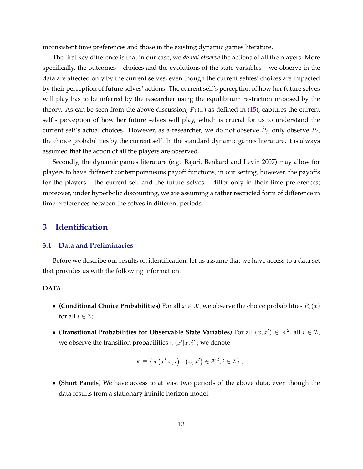<span id="page-14-0"></span>inconsistent time preferences and those in the existing dynamic games literature.

The first key difference is that in our case, we *do not observe* the actions of all the players. More specifically, the outcomes – choices and the evolutions of the state variables – we observe in the data are affected only by the current selves, even though the current selves' choices are impacted by their perception of future selves' actions. The current self's perception of how her future selves will play has to be inferred by the researcher using the equilibrium restriction imposed by the theory. As can be seen from the above discussion,  $\tilde{P}_j\left(x\right)$  as defined in [\(15\)](#page-12-0), captures the current self's perception of how her future selves will play, which is crucial for us to understand the current self's actual choices. However, as a researcher, we do not observe  $\tilde{P}_j,$  only observe  $P_j,$ the choice probabilities by the current self. In the standard dynamic games literature, it is always assumed that the action of all the players are observed.

Secondly, the dynamic games literature (e.g. Bajari, Benkard and Levin 2007) may allow for players to have different contemporaneous payoff functions, in our setting, however, the payoffs for the players – the current self and the future selves – differ only in their time preferences; moreover, under hyperbolic discounting, we are assuming a rather restricted form of difference in time preferences between the selves in different periods.

# **3 Identification**

#### **3.1 Data and Preliminaries**

Before we describe our results on identification, let us assume that we have access to a data set that provides us with the following information:

#### **DATA:**

- **(Conditional Choice Probabilities)** For all  $x \in \mathcal{X}$ , we observe the choice probabilities  $P_i(x)$ for all  $i \in \mathcal{I}$ ;
- (Transitional Probabilities for Observable State Variables) For all  $(x, x') \in \mathcal{X}^2$ , all  $i \in \mathcal{I}$ , we observe the transition probabilities  $\pi(x'|x,i)$ ; we denote

$$
\boldsymbol{\pi} \equiv \{ \pi \left( x' | x, i \right) : (x, x') \in \mathcal{X}^2, i \in \mathcal{I} \};
$$

∙ **(Short Panels)** We have access to at least two periods of the above data, even though the data results from a stationary infinite horizon model.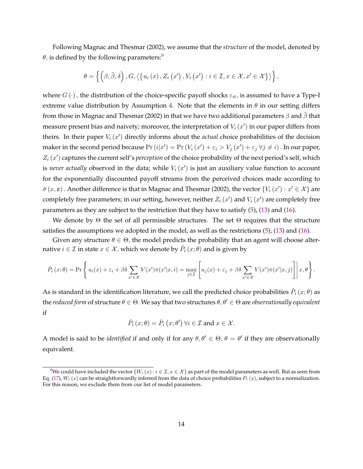<span id="page-15-0"></span>Following Magnac and Thesmar (2002), we assume that the *structure* of the model, denoted by  $\theta$ , is defined by the following parameters:<sup>9</sup>

$$
\theta = \left\{ \left( \beta, \tilde{\beta}, \delta \right), G, \left\langle \left\{ u_i\left(x\right), Z_i\left(x'\right), V_i\left(x'\right) : i \in \mathcal{I}, x \in \mathcal{X}, x' \in \mathcal{X} \right\} \right\rangle \right\},\
$$

where  $G(\cdot)$ , the distribution of the choice-specific payoff shocks  $\varepsilon_{it}$ , is assumed to have a Type-I extreme value distribution by Assumption [4.](#page-11-0) Note that the elements in  $\theta$  in our setting differs from those in Magnac and Thesmar (2002) in that we have two additional parameters  $\beta$  and  $\tilde{\beta}$  that measure present bias and naivety; moreover, the interpretation of  $V_i \left( x' \right)$  in our paper differs from theirs. In their paper  $V_i(x')$  directly informs about the *actual* choice probabilities of the decision maker in the second period because  $Pr(i|x') = Pr(V_i(x') + \varepsilon_i > V_j(x') + \varepsilon_j \; \forall j \neq i)$  . In our paper,  $Z_i(x')$  captures the current self's *perception* of the choice probability of the next period's self, which is *never actually* observed in the data; while  $V_i(x')$  is just an auxiliary value function to account for the exponentially discounted payoff streams from the perceived choices made according to  $\tilde{\sigma}(x,\varepsilon)$  . Another difference is that in Magnac and Thesmar (2002), the vector  $\{V_i(x'): x' \in \mathcal{X}\}$  are completely free parameters; in our setting, however, neither  $Z_i(x')$  and  $V_i(x')$  are completely free parameters as they are subject to the restriction that they have to satisfy [\(5\)](#page-9-0), [\(13\)](#page-12-0) and [\(16\)](#page-12-0).

We denote by  $\Theta$  the set of all permissible structures. The set  $\Theta$  requires that the structure satisfies the assumptions we adopted in the model, as well as the restrictions [\(5\)](#page-9-0), [\(13\)](#page-12-0) and [\(16\)](#page-12-0).

Given any structure  $\theta \in \Theta$ , the model predicts the probability that an agent will choose alternative  $i\in\mathcal{I}$  in state  $x\in\mathcal{X},$  which we denote by  $\hat{P}_i\left(x;\theta\right)$  and is given by

$$
\hat{P}_i(x;\theta) = \Pr\left\{u_i(x) + \varepsilon_i + \beta \delta \sum_{x' \in \mathcal{X}} V(x')\pi(x'|x,i) = \max_{j \in \mathcal{I}} \left[u_j(x) + \varepsilon_j + \beta \delta \sum_{x' \in \mathcal{X}} V(x')\pi(x'|x,j)\right]\middle|\, x,\theta\right\}.
$$

As is standard in the identification literature, we call the predicted choice probabilities  $\hat{P}_i\left(x;\theta\right)$  as the *reduced form* of structure  $\theta \in \Theta$ . We say that two structures  $\theta, \theta' \in \Theta$  are *observationally equivalent* if

$$
\hat{P}_i(x; \theta) = \hat{P}_i(x; \theta') \,\forall i \in \mathcal{I} \text{ and } x \in \mathcal{X}.
$$

A model is said to be *identified* if and only if for any  $\theta, \theta' \in \Theta$ ,  $\theta = \theta'$  if they are observationally equivalent.

<sup>&</sup>lt;sup>9</sup>We could have included the vector  $\{W_i(x): i \in I, x \in \mathcal{X}\}$  as part of the model parameters as well. But as seen from Eq. [\(17\)](#page-16-0),  $W_i(x)$  can be straightforwardly inferred from the data of choice probabilities  $P_i(x)$ , subject to a normalization. For this reason, we exclude them from our list of model parameters.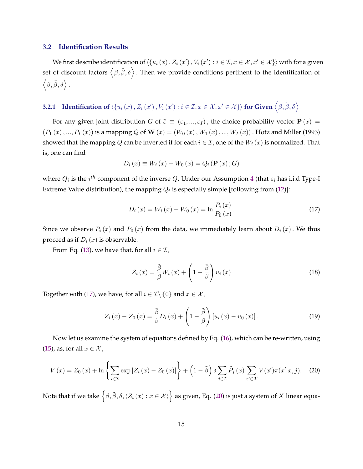#### <span id="page-16-0"></span>**3.2 Identification Results**

We first describe identification of  $\langle\{u_i(x),Z_i(x'),V_i(x'):i\in\mathcal{I},x\in\mathcal{X},x'\in\mathcal{X}\}\rangle$  with for a given set of discount factors  $\langle \beta, \tilde{\beta}, \delta \rangle$  . Then we provide conditions pertinent to the identification of  $\langle \beta, \tilde{\beta}, \delta \rangle$ .

# **3.2.1** Identification of  $\langle\{u_i\left(x\right),Z_i\left(x'\right),V_i\left(x'\right):i\in\mathcal{I},x\in\mathcal{X},x'\in\mathcal{X}\}\rangle$  for Given  $\left\langle\beta,\tilde{\beta},\delta\right\rangle$

For any given joint distribution G of  $\tilde{\varepsilon} \equiv (\varepsilon_1, ..., \varepsilon_I)$ , the choice probability vector  $P(x) =$  $(P_1(x),...,P_I(x))$  is a mapping Q of W $(x) = (W_0(x),W_1(x),...,W_I(x))$ . Hotz and Miller (1993) showed that the mapping Q can be inverted if for each  $i \in \mathcal{I}$ , one of the  $W_i(x)$  is normalized. That is, one can find

$$
D_i(x) \equiv W_i(x) - W_0(x) = Q_i(\mathbf{P}(x); G)
$$

where  $Q_i$  is the  $i^{th}$  component of the inverse  $Q$ . Under our Assumption [4](#page-11-0) (that  $\varepsilon_i$  has i.i.d Type-I Extreme Value distribution), the mapping  $Q_i$  is especially simple [following from [\(12\)](#page-11-0)]:

$$
D_{i}(x) = W_{i}(x) - W_{0}(x) = \ln \frac{P_{i}(x)}{P_{0}(x)}.
$$
\n(17)

Since we observe  $P_i(x)$  and  $P_0(x)$  from the data, we immediately learn about  $D_i(x)$ . We thus proceed as if  $D_i(x)$  is observable.

From Eq. [\(13\)](#page-12-0), we have that, for all  $i \in \mathcal{I}$ ,

$$
Z_i(x) = \frac{\tilde{\beta}}{\beta} W_i(x) + \left(1 - \frac{\tilde{\beta}}{\beta}\right) u_i(x)
$$
\n(18)

Together with (17), we have, for all  $i \in \mathcal{I} \setminus \{0\}$  and  $x \in \mathcal{X}$ ,

$$
Z_i(x) - Z_0(x) = \frac{\tilde{\beta}}{\beta} D_i(x) + \left(1 - \frac{\tilde{\beta}}{\beta}\right) \left[u_i(x) - u_0(x)\right]. \tag{19}
$$

Now let us examine the system of equations defined by Eq. [\(16\)](#page-12-0), which can be re-written, using [\(15\)](#page-12-0), as, for all  $x \in \mathcal{X}$ ,

$$
V(x) = Z_0(x) + \ln \left\{ \sum_{i \in \mathcal{I}} \exp \left[ Z_i(x) - Z_0(x) \right] \right\} + \left( 1 - \tilde{\beta} \right) \delta \sum_{j \in \mathcal{I}} \tilde{P}_j(x) \sum_{x' \in \mathcal{X}} V(x') \pi(x'|x, j). \tag{20}
$$

Note that if we take  $\big\{\beta,\tilde\beta,\delta,\langle Z_i\left(x\right):x\in\mathcal{X}\rangle\big\}$  as given, Eq. (20) is just a system of  $X$  linear equa-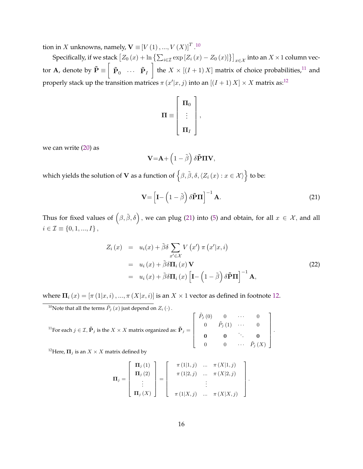<span id="page-17-0"></span>tion in  $X$  unknowns, namely,  $\mathbf{V}\equiv}\left[V\left(1\right),...,V\left(X\right)\right]^{T}$  .  $^{10}$ 

Specifically, if we stack  $[Z_0(x) + \ln \{\sum_{i \in \mathcal{I}} \exp[Z_i(x) - Z_0(x)]\}]_{x \in \mathcal{X}}$  into an  $X \times 1$  column vector **A**, denote by  $\tilde{\textbf{P}} \equiv \left[ \begin{array}{ccc} \tilde{\textbf{p}}_0 & \dots & \tilde{\textbf{p}}_I \end{array} \right]$  the  $X \times [(I+1) \, X]$  matrix of choice probabilities, $^{11}$  and properly stack up the transition matrices  $\pi(x'|x,j)$  into an  $[(I + 1)X] \times X$  matrix as:<sup>12</sup>

$$
\mathbf{\Pi} \equiv \left[ \begin{array}{c} \mathbf{\Pi}_0 \\ \vdots \\ \mathbf{\Pi}_I \end{array} \right]
$$

,

we can write [\(20\)](#page-16-0) as

$$
\mathbf{V}\hspace{-1mm}=\hspace{-1mm}\mathbf{A}\hspace{-1mm}+\left(1-\tilde{\boldsymbol{\beta}}\right)\delta\mathbf{\tilde{P}}\mathbf{\Pi}\mathbf{V},
$$

which yields the solution of  ${\bf V}$  as a function of  $\left\{\beta,\tilde\beta,\delta,\langle Z_i\left(x\right):x\in{\cal X}\rangle\right\}$  to be:

$$
\mathbf{V} = \left[\mathbf{I} - \left(1 - \tilde{\boldsymbol{\beta}}\right) \delta \tilde{\mathbf{P}} \mathbf{\Pi}\right]^{-1} \mathbf{A}.
$$
 (21)

.

Thus for fixed values of  $\left(\beta,\tilde{\beta},\delta\right),$  we can plug (21) into [\(5\)](#page-9-0) and obtain, for all  $x\in\mathcal{X},$  and all  $i \in \mathcal{I} \equiv \{0, 1, ..., I\}$ ,

$$
Z_i(x) = u_i(x) + \tilde{\beta}\delta \sum_{x' \in \mathcal{X}} V(x') \pi(x'|x, i)
$$
  
=  $u_i(x) + \tilde{\beta}\delta \Pi_i(x) V$   
=  $u_i(x) + \tilde{\beta}\delta \Pi_i(x) \left[ \mathbf{I} - \left(1 - \tilde{\beta}\right) \delta \tilde{\mathbf{P}} \Pi \right]^{-1} \mathbf{A},$  (22)

where  $\Pi_i(x) = [\pi(1|x, i), ..., \pi(X|x, i)]$  is an  $X \times 1$  vector as defined in footnote 12.

<sup>10</sup>Note that all the terms  $\tilde{P}_j(x)$  just depend on  $Z_i(\cdot)$ .

$$
{}^{11}\text{For each } j \in \mathcal{I}, \tilde{\mathbf{P}}_j \text{ is the } X \times X \text{ matrix organized as: } \tilde{\mathbf{P}}_j = \begin{bmatrix} \tilde{P}_j(0) & 0 & \cdots & 0 \\ 0 & \tilde{P}_j(1) & \cdots & 0 \\ 0 & 0 & \ddots & 0 \\ 0 & 0 & \cdots & \tilde{P}_j(X) \end{bmatrix}.
$$

ίHere,  $\Pi_j$  is an  $X \times X$  matrix defined by

$$
\mathbf{\Pi}_{j} = \begin{bmatrix} \mathbf{\Pi}_{j} (1) \\ \mathbf{\Pi}_{j} (2) \\ \vdots \\ \mathbf{\Pi}_{j} (X) \end{bmatrix} = \begin{bmatrix} \pi (1|1,j) & \dots & \pi (X|1,j) \\ \pi (1|2,j) & \dots & \pi (X|2,j) \\ \vdots & \vdots \\ \pi (1|X,j) & \dots & \pi (X|X,j) \end{bmatrix}
$$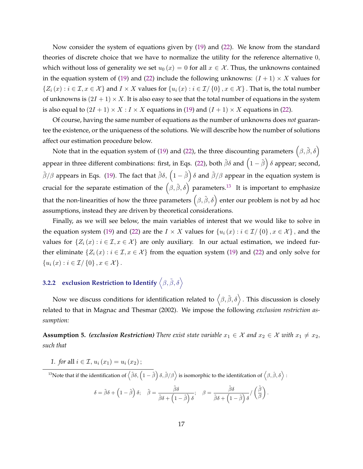<span id="page-18-0"></span>Now consider the system of equations given by [\(19\)](#page-16-0) and [\(22\)](#page-17-0). We know from the standard theories of discrete choice that we have to normalize the utility for the reference alternative 0, which without loss of generality we set  $u_0(x) = 0$  for all  $x \in \mathcal{X}$ . Thus, the unknowns contained in the equation system of [\(19\)](#page-16-0) and [\(22\)](#page-17-0) include the following unknowns:  $(I + 1) \times X$  values for  $\{Z_i(x): i \in \mathcal{I}, x \in \mathcal{X}\}$  and  $I \times X$  values for  $\{u_i(x): i \in \mathcal{I}/\{0\}, x \in \mathcal{X}\}$ . That is, the total number of unknowns is  $(2I + 1) \times X$ . It is also easy to see that the total number of equations in the system is also equal to  $(2I + 1) \times X : I \times X$  equations in [\(19\)](#page-16-0) and  $(I + 1) \times X$  equations in [\(22\)](#page-17-0).

Of course, having the same number of equations as the number of unknowns does *not* guarantee the existence, or the uniqueness of the solutions. We will describe how the number of solutions affect our estimation procedure below.

Note that in the equation system of [\(19\)](#page-16-0) and [\(22\)](#page-17-0), the three discounting parameters  $(\beta, \tilde{\beta}, \delta)$ appear in three different combinations: first, in Eqs. [\(22\)](#page-17-0), both  $\tilde\beta\delta$  and  $\left(1-\tilde\beta\right)\delta$  appear; second,  $\tilde{\beta}/\beta$  appears in Eqs. [\(19\)](#page-16-0). The fact that  $\tilde{\beta}\delta$ ,  $(1-\tilde{\beta})\delta$  and  $\tilde{\beta}/\beta$  appear in the equation system is crucial for the separate estimation of the  $(\beta, \tilde{\beta}, \delta)$  parameters.<sup>13</sup> It is important to emphasize that the non-linearities of how the three parameters  $\big(\beta,\tilde\beta,\delta\big)$  enter our problem is not by ad hoc assumptions, instead they are driven by theoretical considerations.

Finally, as we will see below, the main variables of interest that we would like to solve in the equation system [\(19\)](#page-16-0) and [\(22\)](#page-17-0) are the  $I \times X$  values for  $\{u_i(x) : i \in \mathcal{I}/\{0\}, x \in \mathcal{X}\}\,$  and the values for  $\{Z_i(x): i \in \mathcal{I}, x \in \mathcal{X}\}\$  are only auxiliary. In our actual estimation, we indeed further eliminate  $\{Z_i(x) : i \in \mathcal{I}, x \in \mathcal{X}\}\$  from the equation system [\(19\)](#page-16-0) and [\(22\)](#page-17-0) and only solve for  ${u_i(x) : i \in \mathcal{I}/\{0\}, x \in \mathcal{X}}$ .

# **3.2.2** exclusion Restriction to Identify  $\left\langle \beta, \tilde{\beta}, \delta \right\rangle$

Now we discuss conditions for identification related to  $\big<\beta,\tilde\beta,\delta\big>$  . This discussion is closely related to that in Magnac and Thesmar (2002). We impose the following *exclusion restriction assumption:*

**Assumption 5.** *(exclusion Restriction) There exist state variable*  $x_1 \in \mathcal{X}$  *and*  $x_2 \in \mathcal{X}$  *with*  $x_1 \neq x_2$ , *such that*

*1. for* all  $i \in \mathcal{I}$ ,  $u_i(x_1) = u_i(x_2)$ ;

<sup>13</sup>Note that if the identification of  $\langle \tilde{\beta}\delta, (1-\tilde{\beta})\delta, \tilde{\beta}/\beta \rangle$  is isomorphic to the identifcation of  $\langle \beta, \hat{\beta}, \delta \rangle$  :

$$
\delta = \tilde{\beta}\delta + \left(1 - \tilde{\beta}\right)\delta; \quad \tilde{\beta} = \frac{\tilde{\beta}\delta}{\tilde{\beta}\delta + \left(1 - \tilde{\beta}\right)\delta}; \quad \beta = \frac{\tilde{\beta}\delta}{\tilde{\beta}\delta + \left(1 - \tilde{\beta}\right)\delta} / \left(\frac{\tilde{\beta}}{\beta}\right).
$$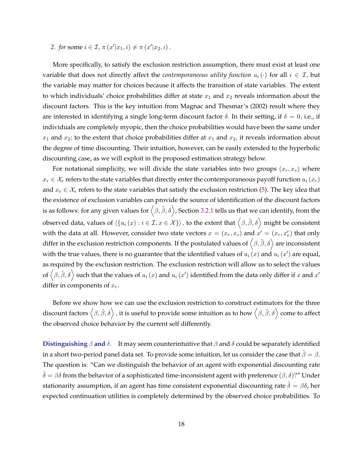*2. for* some  $i \in \mathcal{I}, \pi(x'|x_1, i) \neq \pi(x'|x_2, i)$ .

More specifically, to satisfy the exclusion restriction assumption, there must exist at least one variable that does not directly affect the *contemporaneous utility function*  $u_i(\cdot)$  for all  $i \in \mathcal{I}$ , but the variable may matter for choices because it affects the transition of state variables. The extent to which individuals' choice probabilities differ at state  $x_1$  and  $x_2$  reveals information about the discount factors. This is the key intuition from Magnac and Thesmar's (2002) result where they are interested in identifying a single long-term discount factor  $\delta$ . In their setting, if  $\delta = 0$ , i.e., if individuals are completely myopic, then the choice probabilities would have been the same under  $x_1$  and  $x_2$ ; to the extent that choice probabilities differ at  $x_1$  and  $x_2$ , it reveals information about the degree of time discounting. Their intuition, however, can be easily extended to the hyperbolic discounting case, as we will exploit in the proposed estimation strategy below.

For notational simplicity, we will divide the state variables into two groups  $(x_r, x_e)$  where  $x_r \in \mathcal{X}_r$  refers to the state variables that directly enter the contemporaneous payoff function  $u_i(x_r)$ and  $x_e \in \mathcal{X}_e$  refers to the state variables that satisfy the exclusion restriction [\(5\)](#page-18-0). The key idea that the existence of exclusion variables can provide the source of identification of the discount factors is as follows: for any given values for  $\big<\beta,\tilde\beta,\delta\big>$ , Section [3.2.1](#page-16-0) tells us that we can identify, from the observed data, values of  $\langle\{u_i\left(x\right):i\in\mathcal{I},x\in\mathcal{X}\}\rangle$  , to the extent that  $\big\langle\beta,\tilde{\beta},\delta\big\rangle$  might be consistent with the data at all. However, consider two state vectors  $x = (x_r, x_e)$  and  $x' = (x_r, x'_e)$  that only differ in the exclusion restriction components. If the postulated values of  $\langle \beta,\tilde\beta,\delta\rangle$  are inconsistent with the true values, there is no guarantee that the identified values of  $u_i(x)$  and  $u_i(x')$  are equal, as required by the exclusion restriction. The exclusion restriction will allow us to select the values of  $\big<\beta,\tilde\beta,\delta\big>$  such that the values of  $u_i$   $(x)$  and  $u_i$   $(x')$  identified from the data only differ if  $x$  and  $x'$ differ in components of  $x_r$ .

Before we show how we can use the exclusion restriction to construct estimators for the three discount factors  $\big\langle \beta,\tilde\beta,\delta\big\rangle$  , it is useful to provide some intuition as to how  $\big\langle \beta,\tilde\beta,\delta\big\rangle$  come to affect the observed choice behavior by the current self differently.

**Distinguishing**  $\beta$  and  $\delta$ . It may seem counterintuitive that  $\beta$  and  $\delta$  could be separately identified in a short two-period panel data set. To provide some intuition, let us consider the case that  $\tilde{\beta} = \beta$ . The question is: "Can we distinguish the behavior of an agent with exponential discounting rate  $\delta = \beta \delta$  from the behavior of a sophisticated time-inconsistent agent with preference  $(\beta, \delta)$ ?" Under stationarity assumption, if an agent has time consistent exponential discounting rate  $\hat{\delta} = \beta \delta$ , her expected continuation utilities is completely determined by the observed choice probabilities. To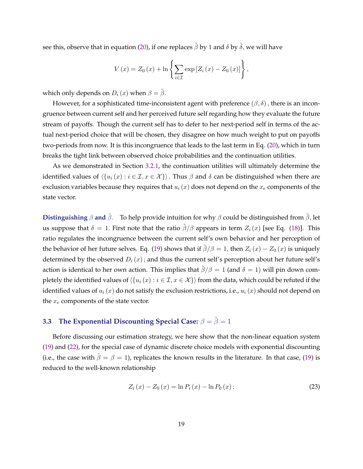<span id="page-20-0"></span>see this, observe that in equation [\(20\)](#page-16-0), if one replaces  $\tilde{\beta}$  by 1 and  $\delta$  by  $\hat{\delta}$ , we will have

$$
V(x) = Z_0(x) + \ln \left\{ \sum_{i \in \mathcal{I}} \exp \left[ Z_i(x) - Z_0(x) \right] \right\},\,
$$

which only depends on  $D_i(x)$  when  $\beta = \tilde{\beta}$ .

However, for a sophisticated time-inconsistent agent with preference  $(\beta, \delta)$ , there is an incongruence between current self and her perceived future self regarding how they evaluate the future stream of payoffs. Though the current self has to defer to her next-period self in terms of the actual next-period choice that will be chosen, they disagree on how much weight to put on payoffs two-periods from now. It is this incongruence that leads to the last term in Eq. [\(20\)](#page-16-0), which in turn breaks the tight link between observed choice probabilities and the continuation utilities.

As we demonstrated in Section [3.2.1,](#page-16-0) the continuation utilities will ultimately determine the identified values of  $\langle \{u_i(x) : i \in \mathcal{I}, x \in \mathcal{X}\} \rangle$ . Thus  $\beta$  and  $\delta$  can be distinguished when there are exclusion variables because they requires that  $u_i(x)$  does not depend on the  $x_e$  components of the state vector.

**Distinguishing**  $\beta$  and  $\tilde{\beta}$ . To help provide intuition for why  $\beta$  could be distinguished from  $\tilde{\beta}$ , let us suppose that  $\delta = 1$ . First note that the ratio  $\tilde{\beta}/\beta$  appears in term  $Z_i(x)$  [see Eq. [\(18\)](#page-16-0)]. This ratio regulates the incongruence between the current self's own behavior and her perception of the behavior of her future selves. Eq. [\(19\)](#page-16-0) shows that if  $\tilde{\beta}/\beta = 1$ , then  $Z_i(x) - Z_0(x)$  is uniquely determined by the observed  $D_i(x)$ ; and thus the current self's perception about her future self's action is identical to her own action. This implies that  $\tilde{\beta}/\beta = 1$  (and  $\delta = 1$ ) will pin down completely the identified values of  $\langle \{u_i(x) : i \in I, x \in \mathcal{X}\} \rangle$  from the data, which could be refuted if the identified values of  $u_i(x)$  do not satisfy the exclusion restrictions, i.e.,  $u_i(x)$  should not depend on the  $x_e$  components of the state vector.

# **3.3** The Exponential Discounting Special Case:  $\beta = \tilde{\beta} = 1$

Before discussing our estimation strategy, we here show that the non-linear equation system [\(19\)](#page-16-0) and [\(22\)](#page-17-0), for the special case of dynamic discrete choice models with exponential discounting (i.e., the case with  $\hat{\beta} = \beta = 1$ ), replicates the known results in the literature. In that case, [\(19\)](#page-16-0) is reduced to the well-known relationship

$$
Z_i(x) - Z_0(x) = \ln P_i(x) - \ln P_0(x); \qquad (23)
$$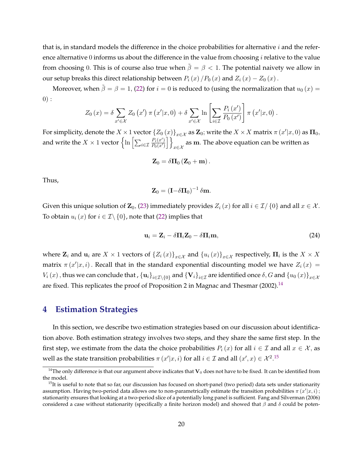<span id="page-21-0"></span>that is, in standard models the difference in the choice probabilities for alternative  $i$  and the reference alternative 0 informs us about the difference in the value from choosing  $i$  relative to the value from choosing 0. This is of course also true when  $\tilde{\beta} = \beta < 1$ . The potential naivety we allow in our setup breaks this direct relationship between  $P_i(x)/P_0(x)$  and  $Z_i(x) - Z_0(x)$ .

Moreover, when  $\tilde{\beta} = \beta = 1$ , [\(22\)](#page-17-0) for  $i = 0$  is reduced to (using the normalization that  $u_0(x) =$  $0):$ 

$$
Z_0(x) = \delta \sum_{x' \in \mathcal{X}} Z_0(x') \pi(x'|x,0) + \delta \sum_{x' \in \mathcal{X}} \ln \left[ \sum_{i \in \mathcal{I}} \frac{P_i(x')}{P_0(x')} \right] \pi(x'|x,0).
$$

For simplicity, denote the  $X\times 1$  vector  $\{Z_0(x)\}_{x\in\mathcal{X}}$  as  ${\bf Z}_0$ ; write the  $X\times X$  matrix  $\pi$   $(x'|x,0)$  as  ${\bf \Pi}_0,$ and write the  $X\times 1$  vector  $\left\{\ln\left[\sum_{i\in\mathcal{I}}\frac{P_i(x')}{P_0(x')}\right]\right\}$  $\overline{P_0(x')}$ ]} as m. The above equation can be written as  $x \in \mathcal{X}$ 

$$
\mathbf{Z}_0 = \delta \mathbf{\Pi}_0 \left( \mathbf{Z}_0 + \mathbf{m} \right).
$$

Thus,

$$
\mathbf{Z}_0 = \left(\mathbf{I} - \delta \mathbf{\Pi}_0\right)^{-1} \delta \mathbf{m}.
$$

Given this unique solution of  $\mathbb{Z}_0$ , [\(23\)](#page-20-0) immediately provides  $Z_i(x)$  for all  $i \in \mathcal{I}/\{0\}$  and all  $x \in \mathcal{X}$ . To obtain  $u_i(x)$  for  $i \in \mathcal{I} \setminus \{0\}$ , note that [\(22\)](#page-17-0) implies that

$$
\mathbf{u}_i = \mathbf{Z}_i - \delta \mathbf{\Pi}_i \mathbf{Z}_0 - \delta \mathbf{\Pi}_i \mathbf{m},\tag{24}
$$

where  $\mathbf{Z}_i$  and  $\mathbf{u}_i$  are  $X\times 1$  vectors of  $\{Z_i(x)\}_{x\in\mathcal{X}}$  and  $\{u_i(x)\}_{x\in\mathcal{X}}$  respectively,  $\mathbf{\Pi}_i$  is the  $X\times X$ matrix  $\pi(x'|x, i)$ . Recall that in the standard exponential discounting model we have  $Z_i(x) =$  $V_i(x)$  , thus we can conclude that ,  $\{ {\bf u}_i\}_{i\in \mathcal{I}\setminus\{0\}}$  and  $\{ {\bf V}_i\}_{i\in \mathcal{I}}$  are identified once  $\delta,G$  and  $\{u_0(x)\}_{x\in \mathcal{X}}$ are fixed. This replicates the proof of Proposition 2 in Magnac and Thesmar  $(2002)$ .<sup>14</sup>

### **4 Estimation Strategies**

In this section, we describe two estimation strategies based on our discussion about identification above. Both estimation strategy involves two steps, and they share the same first step. In the first step, we estimate from the data the choice probabilities  $P_i(x)$  for all  $i \in \mathcal{I}$  and all  $x \in \mathcal{X}$ , as well as the state transition probabilities  $\pi(x'|x,i)$  for all  $i \in \mathcal{I}$  and all  $(x',x) \in \mathcal{X}^{2.15}$ 

<sup>&</sup>lt;sup>14</sup>The only difference is that our argument above indicates that  $V_0$  does not have to be fixed. It can be identified from the model.

 $15$ It is useful to note that so far, our discussion has focused on short-panel (two period) data sets under stationarity assumption. Having two-period data allows one to non-parametrically estimate the transition probabilities  $\pi(x'|x,i)$ ; stationarity ensures that looking at a two-period slice of a potentially long panel is sufficient. Fang and Silverman (2006) considered a case without stationarity (specifically a finite horizon model) and showed that  $\beta$  and  $\delta$  could be poten-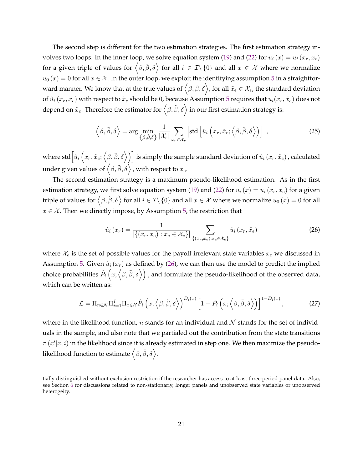<span id="page-22-0"></span>The second step is different for the two estimation strategies. The first estimation strategy in-volves two loops. In the inner loop, we solve equation system [\(19\)](#page-16-0) and [\(22\)](#page-17-0) for  $u_i(x) = u_i(x_r, x_e)$ for a given triple of values for  $\big<\beta,\tilde\beta,\delta\big>$  for all  $i\,\in\,\mathcal{I}\setminus\{0\}$  and all  $x\,\in\,\mathcal{X}$  where we normalize  $u_0(x) = 0$  for all  $x \in \mathcal{X}$ . In the outer loop, we exploit the identifying assumption [5](#page-18-0) in a straightforward manner. We know that at the true values of  $\big<\beta,\tilde\beta,\delta\big>$ , for all  $\tilde x_e\in\mathcal X_e$ , the standard deviation of  $\hat{u}_i(x_r, \tilde{x}_e)$  with respect to  $\tilde{x}_e$  should be 0, because Assumption [5](#page-18-0) requires that  $u_i(x_r, \tilde{x}_e)$  does not depend on  $\tilde x_e.$  Therefore the estimator for  $\big\langle \beta,\tilde\beta,\delta\big\rangle$  in our first estimation strategy is:

$$
\left\langle \beta, \tilde{\beta}, \delta \right\rangle = \arg \min_{\left\{ \beta, \tilde{\beta}, \delta \right\}} \frac{1}{|\mathcal{X}_r|} \sum_{x_r \in \mathcal{X}_r} \left| \text{std} \left[ \hat{u}_i \left( x_r, \tilde{x}_e; \left\langle \beta, \tilde{\beta}, \delta \right\rangle \right) \right] \right|, \tag{25}
$$

where std $\big[\hat{u}_i\big(x_r,\tilde{x}_e;\big<\beta,\tilde{\beta},\delta\big>\big)\big]$  is simply the sample standard deviation of  $\hat{u}_i\,(x_r,\tilde{x}_e)$  , calculated under given values of  $\left\langle \beta,\tilde{\beta},\delta\right\rangle$  , with respect to  $\tilde{x}_{e}.$ 

The second estimation strategy is a maximum pseudo-likelihood estimation. As in the first estimation strategy, we first solve equation system [\(19\)](#page-16-0) and [\(22\)](#page-17-0) for  $u_i(x) = u_i(x_r, x_e)$  for a given triple of values for  $\big<\beta,\tilde\beta,\delta\big>$  for all  $i\in\mathcal I\backslash\{0\}$  and all  $x\in\mathcal X$  where we normalize  $u_0\,(x)=0$  for all  $x \in \mathcal{X}$ . Then we directly impose, by Assumption [5,](#page-18-0) the restriction that

$$
\hat{u}_i(x_r) = \frac{1}{|\{(x_r, \tilde{x}_e) : \tilde{x}_e \in \mathcal{X}_e\}|} \sum_{\{(x_r, \tilde{x}_e) : \tilde{x}_e \in \mathcal{X}_e\}} \hat{u}_i(x_r, \tilde{x}_e)
$$
\n(26)

where  $\mathcal{X}_e$  is the set of possible values for the payoff irrelevant state variables  $x_e$  we discussed in Assumption [5.](#page-18-0) Given  $\hat{u}_i(x_r)$  as defined by (26), we can then use the model to predict the implied choice probabilities  $\hat{P}_i\left(x;\left<\beta,\tilde{\beta},\delta\right>\right)$  , and formulate the pseudo-likelihood of the observed data, which can be written as:

$$
\mathcal{L} = \Pi_{n \in \mathcal{N}} \Pi_{i=1}^{I} \Pi_{x \in \mathcal{X}} \hat{P}_i \left( x; \left\langle \beta, \tilde{\beta}, \delta \right\rangle \right)^{D_i(x)} \left[ 1 - \hat{P}_i \left( x; \left\langle \beta, \tilde{\beta}, \delta \right\rangle \right) \right]^{1 - D_i(x)}, \tag{27}
$$

where in the likelihood function, n stands for an individual and  $\mathcal N$  stands for the set of individuals in the sample, and also note that we partialed out the contribution from the state transitions  $\pi(x'|x,i)$  in the likelihood since it is already estimated in step one. We then maximize the pseudolikelihood function to estimate  $\big\langle \beta,\tilde{\beta},\delta \big\rangle.$ 

tially distinguished without exclusion restriction if the researcher has access to at least three-period panel data. Also, see Section [6](#page-37-0) for discussions related to non-stationariy, longer panels and unobserved state variables or unobserved heterogeity.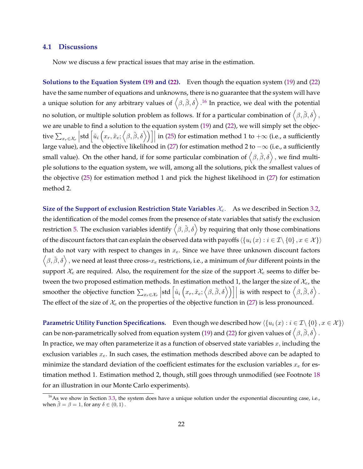#### **4.1 Discussions**

Now we discuss a few practical issues that may arise in the estimation.

**Solutions to the Equation System [\(19\)](#page-16-0) and [\(22\)](#page-17-0).** Even though the equation system [\(19\)](#page-16-0) and [\(22\)](#page-17-0) have the same number of equations and unknowns, there is no guarantee that the system will have a unique solution for any arbitrary values of  $\big\langle \beta,\tilde{\beta},\delta\big\rangle$  .<sup>16</sup> In practice, we deal with the potential no solution, or multiple solution problem as follows. If for a particular combination of  $\big<\beta,\tilde\beta,\delta\big>$  , we are unable to find a solution to the equation system [\(19\)](#page-16-0) and [\(22\)](#page-17-0), we will simply set the objective  $\sum_{x_r \in \mathcal{X}_r} \left| \text{std}\left[\hat{u}_i\left(x_r, \tilde{x}_e; \left\langle \beta, \tilde{\beta}, \delta \right\rangle \right) \right] \right|$  in [\(25\)](#page-22-0) for estimation method 1 to + $\infty$  (i.e., a sufficiently  $\overline{\phantom{a}}$ large value), and the objective likelihood in [\(27\)](#page-22-0) for estimation method 2 to  $-\infty$  (i.e., a sufficiently small value). On the other hand, if for some particular combination of  $\big\langle \beta,\tilde{\beta},\delta\big\rangle$  , we find multiple solutions to the equation system, we will, among all the solutions, pick the smallest values of the objective [\(25\)](#page-22-0) for estimation method 1 and pick the highest likelihood in [\(27\)](#page-22-0) for estimation method 2.

**Size of the Support of exclusion Restriction State Variables**  $\mathcal{X}_e$ . As we described in Section [3.2,](#page-15-0) the identification of the model comes from the presence of state variables that satisfy the exclusion restriction [5.](#page-18-0) The exclusion variables identify  $\big<\beta,\tilde\beta,\delta\big>$  by requiring that only those combinations of the discount factors that can explain the observed data with payoffs  $\langle \{u_i(x) : i \in \mathcal{I} \setminus \{0\}, x \in \mathcal{X}\} \rangle$ that do not vary with respect to changes in  $x_e$ . Since we have three unknown discount factors  $\langle \beta, \tilde{\beta}, \delta \rangle$ , we need at least three cross- $x_e$  restrictions, i.e., a minimum of *four* different points in the support  $\mathcal{X}_e$  are required. Also, the requirement for the size of the support  $\mathcal{X}_e$  seems to differ between the two proposed estimation methods. In estimation method 1, the larger the size of  $\mathcal{X}_e$ , the smoother the objective function  $\sum_{x_r \in \mathcal{X}_r} \left[ \text{std} \left[ \hat{u}_i \left( x_r, \tilde{x}_e; \left\langle \beta, \tilde{\beta}, \delta \right\rangle \right) \right] \right]$  is with respect to  $\left\langle \beta, \tilde{\beta}, \delta \right\rangle$ . The effect of the size of  $\mathcal{X}_e$  on the properties of the objective function in [\(27\)](#page-22-0) is less pronounced.

**Parametric Utility Function Specifications.** Even though we described how  $\langle \{u_i(x) : i \in \mathcal{I} \setminus \{0\}, x \in \mathcal{X}\} \rangle$ can be non-parametrically solved from equation system [\(19\)](#page-16-0) and [\(22\)](#page-17-0) for given values of  $\big<\beta,\tilde\beta,\delta\big>$  . In practice, we may often parameterize it as a function of observed state variables  $x$ , including the exclusion variables  $x_e$ . In such cases, the estimation methods described above can be adapted to minimize the standard deviation of the coefficient estimates for the exclusion variables  $x_e$  for estimation method 1. Estimation method 2, though, still goes through unmodified (see Footnote [18](#page-24-0) for an illustration in our Monte Carlo experiments).

 $16$ As we show in Section [3.3,](#page-20-0) the system does have a unique solution under the exponential discounting case, i.e., when  $\tilde{\beta} = \beta = 1$ , for any  $\delta \in (0, 1)$ .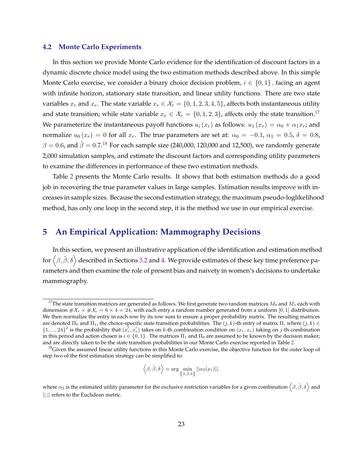#### <span id="page-24-0"></span>**4.2 Monte Carlo Experiments**

In this section we provide Monte Carlo evidence for the identification of discount factors in a dynamic discrete choice model using the two estimation methods described above. In this simple Monte Carlo exercise, we consider a binary choice decision problem,  $i \in \{0,1\}$ , facing an agent with infinite horizon, stationary state transition, and linear utility functions. There are two state variables  $x_r$  and  $x_e$ . The state variable  $x_r \in \mathcal{X}_r = \{0, 1, 2, 3, 4, 5\}$ , affects both instantaneous utility and state transition; while state variable  $x_e \in \mathcal{X}_e = \{0, 1, 2, 3\}$ , affects only the state transition.<sup>17</sup> We parameterize the instantaneous payoff functions  $u_i(x_r)$  as follows:  $u_1(x_r) = \alpha_0 + \alpha_1 x_r$ ; and normalize  $u_0(x_r) = 0$  for all  $x_r$ . The true parameters are set at:  $\alpha_0 = -0.1$ ,  $\alpha_1 = 0.5$ ,  $\delta = 0.8$ ,  $\beta = 0.6$ , and  $\tilde{\beta} = 0.7.^{18}$  For each sample size (240,000, 120,000 and 12,500), we randomly generate 2,000 simulation samples, and estimate the discount factors and corresponding utility parameters to examine the differences in performance of these two estimation methods.

Table [2](#page-25-0) presents the Monte Carlo results. It shows that both estimation methods do a good job in recovering the true parameter values in large samples. Estimation results improve with increases in sample sizes. Because the second estimation strategy, the maximum pseudo-loglikelihood method, has only one loop in the second step, it is the method we use in our empirical exercise.

# **5 An Empirical Application: Mammography Decisions**

In this section, we present an illustrative application of the identification and estimation method for  $\big<\beta,\tilde\beta,\delta\big>$  described in Sections [3.2](#page-15-0) and [4.](#page-21-0) We provide estimates of these key time preference parameters and then examine the role of present bias and naivety in women's decisions to undertake mammography.

$$
\langle \beta, \tilde{\beta}, \delta \rangle = \arg \min_{\{\beta, \tilde{\beta}, \delta\}} ||\alpha_2(x_e)||.
$$

where  $\alpha_2$  is the estimated utility parameter for the exclusive restriction variables for a given combination  $\big<\beta,\tilde\beta,\delta\big>$  and ∣∣.∣∣ refers to the Euclidean metric.

<sup>&</sup>lt;sup>17</sup>The state transition matrices are generated as follows. We first generate two random matrices  $M_0$  and  $M_1$  each with dimension  $\#\mathcal{X}_r \times \#\mathcal{X}_e = 6 \times 4 = 24$ , with each entry a random number generated from a uniform [0, 1] distribution. We then normalize the entry in each row by its row sum to ensure a proper probability matrix. The resulting matrices are denoted  $\Pi_0$  and  $\Pi_1$ , the choice-specific state transition probabilities. The  $(j,k)$ -th entry of matrix  $\Pi_i$  where  $(j,k)$  $\{1, ..., 24\}^2$  is the probability that  $(x_r, x_e)$  takes on k-th combination condition on  $(x_r, x_e)$  taking on j-th combination in this period and action chosen is  $i \in \{0,1\}$ . The matrices  $\Pi_1$  and  $\Pi_0$  are assumed to be known by the decision maker; and are directly taken to be the state transition probabilities in our Monte Carlo exercise reported in Table [2.](#page-25-0)

 $18$  Given the assumed linear utility functions in this Monte Carlo exercise, the objective function for the outer loop of step two of the first estimation strategy can be simplified to: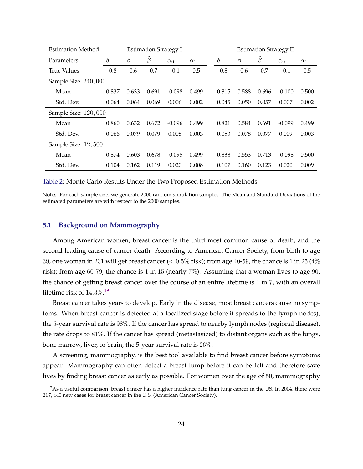<span id="page-25-0"></span>

| Estimation Method    |          | <b>Estimation Strategy I</b> |         |            |            | <b>Estimation Strategy II</b> |          |       |       |            |            |
|----------------------|----------|------------------------------|---------|------------|------------|-------------------------------|----------|-------|-------|------------|------------|
| Parameters           | $\delta$ | β                            | $\beta$ | $\alpha_0$ | $\alpha_1$ |                               | $\delta$ | β     | β     | $\alpha_0$ | $\alpha_1$ |
| <b>True Values</b>   | 0.8      | 0.6                          | 0.7     | $-0.1$     | 0.5        |                               | 0.8      | 0.6   | 0.7   | $-0.1$     | 0.5        |
| Sample Size: 240,000 |          |                              |         |            |            |                               |          |       |       |            |            |
| Mean                 | 0.837    | 0.633                        | 0.691   | $-0.098$   | 0.499      |                               | 0.815    | 0.588 | 0.696 | $-0.100$   | 0.500      |
| Std. Dev.            | 0.064    | 0.064                        | 0.069   | 0.006      | 0.002      |                               | 0.045    | 0.050 | 0.057 | 0.007      | 0.002      |
| Sample Size: 120,000 |          |                              |         |            |            |                               |          |       |       |            |            |
| Mean                 | 0.860    | 0.632                        | 0.672   | $-0.096$   | 0.499      |                               | 0.821    | 0.584 | 0.691 | $-0.099$   | 0.499      |
| Std. Dev.            | 0.066    | 0.079                        | 0.079   | 0.008      | 0.003      |                               | 0.053    | 0.078 | 0.077 | 0.009      | 0.003      |
| Sample Size: 12, 500 |          |                              |         |            |            |                               |          |       |       |            |            |
| Mean                 | 0.874    | 0.603                        | 0.678   | $-0.095$   | 0.499      |                               | 0.838    | 0.553 | 0.713 | $-0.098$   | 0.500      |
| Std. Dev.            | 0.104    | 0.162                        | 0.119   | 0.020      | 0.008      |                               | 0.107    | 0.160 | 0.123 | 0.020      | 0.009      |

Table 2: Monte Carlo Results Under the Two Proposed Estimation Methods.

Notes: For each sample size, we generate 2000 random simulation samples. The Mean and Standard Deviations of the estimated parameters are with respect to the 2000 samples.

#### **5.1 Background on Mammography**

Among American women, breast cancer is the third most common cause of death, and the second leading cause of cancer death. According to American Cancer Society, from birth to age 39, one woman in 231 will get breast cancer ( $< 0.5\%$  risk); from age 40-59, the chance is 1 in 25 (4%) risk); from age 60-79, the chance is 1 in 15 (nearly  $7\%$ ). Assuming that a woman lives to age 90, the chance of getting breast cancer over the course of an entire lifetime is 1 in 7, with an overall lifetime risk of  $14.3\%$   $^{19}$ 

Breast cancer takes years to develop. Early in the disease, most breast cancers cause no symptoms. When breast cancer is detected at a localized stage before it spreads to the lymph nodes), the 5-year survival rate is 98%. If the cancer has spread to nearby lymph nodes (regional disease), the rate drops to 81%. If the cancer has spread (metastasized) to distant organs such as the lungs, bone marrow, liver, or brain, the 5-year survival rate is 26%.

A screening, mammography, is the best tool available to find breast cancer before symptoms appear. Mammography can often detect a breast lump before it can be felt and therefore save lives by finding breast cancer as early as possible. For women over the age of 50, mammography

<sup>&</sup>lt;sup>19</sup>As a useful comparison, breast cancer has a higher incidence rate than lung cancer in the US. In 2004, there were 217, 440 new cases for breast cancer in the U.S. (American Cancer Society).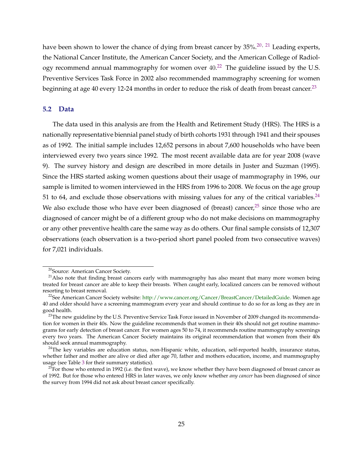have been shown to lower the chance of dying from breast cancer by 35%.<sup>20, 21</sup> Leading experts, the National Cancer Institute, the American Cancer Society, and the American College of Radiology recommend annual mammography for women over  $40.^{22}$  The guideline issued by the U.S. Preventive Services Task Force in 2002 also recommended mammography screening for women beginning at age 40 every 12-24 months in order to reduce the risk of death from breast cancer.<sup>23</sup>

#### **5.2 Data**

The data used in this analysis are from the Health and Retirement Study (HRS). The HRS is a nationally representative biennial panel study of birth cohorts 1931 through 1941 and their spouses as of 1992. The initial sample includes 12,652 persons in about 7,600 households who have been interviewed every two years since 1992. The most recent available data are for year 2008 (wave 9). The survey history and design are described in more details in Juster and Suzman (1995). Since the HRS started asking women questions about their usage of mammography in 1996, our sample is limited to women interviewed in the HRS from 1996 to 2008. We focus on the age group 51 to 64, and exclude those observations with missing values for any of the critical variables. $^{24}$ We also exclude those who have ever been diagnosed of (breast) cancer, $25$  since those who are diagnosed of cancer might be of a different group who do not make decisions on mammography or any other preventive health care the same way as do others. Our final sample consists of 12,307 observations (each observation is a two-period short panel pooled from two consecutive waves) for 7,021 individuals.

<sup>20</sup>Source: American Cancer Society.

<sup>&</sup>lt;sup>21</sup> Also note that finding breast cancers early with mammography has also meant that many more women being treated for breast cancer are able to keep their breasts. When caught early, localized cancers can be removed without resorting to breast removal.

 $^{22}$ See American Cancer Society website: [http://www.cancer.org/Cancer/BreastCancer/DetailedGuide.](http://www.cancer.org/Cancer/BreastCancer/DetailedGuide/breast-cancer-detection) Women age 40 and older should have a screening mammogram every year and should continue to do so for as long as they are in good health.

 $23$ The new guideline by the U.S. Preventive Service Task Force issued in November of 2009 changed its recommendation for women in their 40s. Now the guideline recommends that women in their 40s should not get routine mammograms for early detection of breast cancer. For women ages 50 to 74, it recommends routine mammography screenings every two years. The American Cancer Society maintains its original recommendation that women from their 40s should seek annual mammography.

<sup>&</sup>lt;sup>24</sup>The key variables are education status, non-Hispanic white, education, self-reported health, insurance status, whether father and mother are alive or died after age 70, father and mothers education, income, and mammography usage (see Table [3](#page-28-0) for their summary statistics).

 ${}^{5}$ For those who entered in 1992 (i.e. the first wave), we know whether they have been diagnosed of breast cancer as of 1992. But for those who entered HRS in later waves, we only know whether *any cancer* has been diagnosed of since the survey from 1994 did not ask about breast cancer specifically.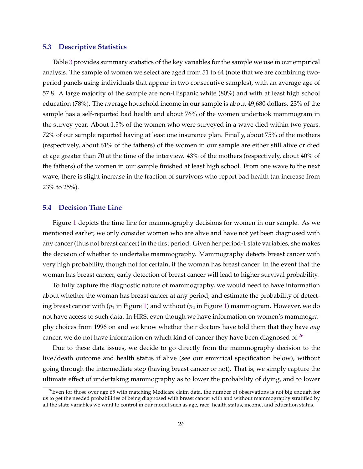#### **5.3 Descriptive Statistics**

Table [3](#page-28-0) provides summary statistics of the key variables for the sample we use in our empirical analysis. The sample of women we select are aged from 51 to 64 (note that we are combining twoperiod panels using individuals that appear in two consecutive samples), with an average age of 57.8. A large majority of the sample are non-Hispanic white (80%) and with at least high school education (78%). The average household income in our sample is about 49,680 dollars. 23% of the sample has a self-reported bad health and about 76% of the women undertook mammogram in the survey year. About 1.5% of the women who were surveyed in a wave died within two years. 72% of our sample reported having at least one insurance plan. Finally, about 75% of the mothers (respectively, about 61% of the fathers) of the women in our sample are either still alive or died at age greater than 70 at the time of the interview. 43% of the mothers (respectively, about 40% of the fathers) of the women in our sample finished at least high school. From one wave to the next wave, there is slight increase in the fraction of survivors who report bad health (an increase from 23% to 25%).

#### **5.4 Decision Time Line**

Figure [1](#page-29-0) depicts the time line for mammography decisions for women in our sample. As we mentioned earlier, we only consider women who are alive and have not yet been diagnosed with any cancer (thus not breast cancer) in the first period. Given her period-1 state variables, she makes the decision of whether to undertake mammography. Mammography detects breast cancer with very high probability, though not for certain, if the woman has breast cancer. In the event that the woman has breast cancer, early detection of breast cancer will lead to higher survival probability.

To fully capture the diagnostic nature of mammography, we would need to have information about whether the woman has breast cancer at any period, and estimate the probability of detecting breast cancer with  $(p_1$  in Figure [1\)](#page-29-0) and without  $(p_2$  in Figure 1) mammogram. However, we do not have access to such data. In HRS, even though we have information on women's mammography choices from 1996 on and we know whether their doctors have told them that they have *any* cancer, we do not have information on which kind of cancer they have been diagnosed of.<sup>26</sup>

Due to these data issues, we decide to go directly from the mammography decision to the live/death outcome and health status if alive (see our empirical specification below), without going through the intermediate step (having breast cancer or not). That is, we simply capture the ultimate effect of undertaking mammography as to lower the probability of dying, and to lower

 $^{26}$ Even for those over age 65 with matching Medicare claim data, the number of observations is not big enough for us to get the needed probabilities of being diagnosed with breast cancer with and without mammography stratified by all the state variables we want to control in our model such as age, race, health status, income, and education status.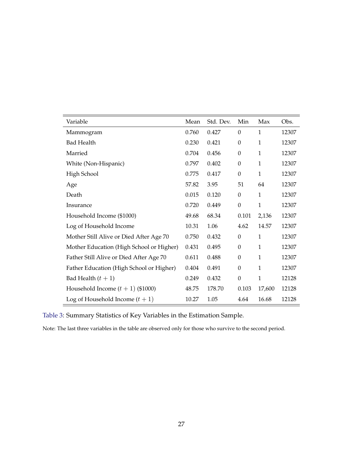<span id="page-28-0"></span>

| Variable                                 | Mean  | Std. Dev. | Min              | Max          | Obs.  |
|------------------------------------------|-------|-----------|------------------|--------------|-------|
| Mammogram                                | 0.760 | 0.427     | $\theta$         | 1            | 12307 |
| <b>Bad Health</b>                        | 0.230 | 0.421     | $\boldsymbol{0}$ | $\mathbf{1}$ | 12307 |
| Married                                  | 0.704 | 0.456     | $\boldsymbol{0}$ | $\mathbf{1}$ | 12307 |
| White (Non-Hispanic)                     | 0.797 | 0.402     | $\boldsymbol{0}$ | $\mathbf{1}$ | 12307 |
| High School                              | 0.775 | 0.417     | $\boldsymbol{0}$ | $\mathbf{1}$ | 12307 |
| Age                                      | 57.82 | 3.95      | 51               | 64           | 12307 |
| Death                                    | 0.015 | 0.120     | $\boldsymbol{0}$ | $\mathbf{1}$ | 12307 |
| Insurance                                | 0.720 | 0.449     | $\boldsymbol{0}$ | $\mathbf{1}$ | 12307 |
| Household Income (\$1000)                | 49.68 | 68.34     | 0.101            | 2,136        | 12307 |
| Log of Household Income                  | 10.31 | 1.06      | 4.62             | 14.57        | 12307 |
| Mother Still Alive or Died After Age 70  | 0.750 | 0.432     | $\mathbf{0}$     | $\mathbf{1}$ | 12307 |
| Mother Education (High School or Higher) | 0.431 | 0.495     | $\theta$         | $\mathbf{1}$ | 12307 |
| Father Still Alive or Died After Age 70  | 0.611 | 0.488     | $\boldsymbol{0}$ | 1            | 12307 |
| Father Education (High School or Higher) | 0.404 | 0.491     | $\boldsymbol{0}$ | 1            | 12307 |
| Bad Health $(t + 1)$                     | 0.249 | 0.432     | $\mathbf{0}$     | 1            | 12128 |
| Household Income $(t + 1)$ (\$1000)      | 48.75 | 178.70    | 0.103            | 17,600       | 12128 |
| Log of Household Income $(t + 1)$        | 10.27 | 1.05      | 4.64             | 16.68        | 12128 |

Table 3: Summary Statistics of Key Variables in the Estimation Sample.

Note: The last three variables in the table are observed only for those who survive to the second period.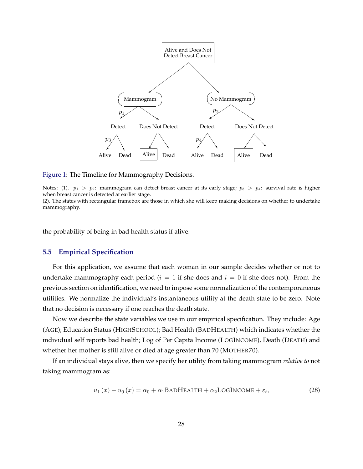<span id="page-29-0"></span>

Figure 1: The Timeline for Mammography Decisions.

Notes: (1).  $p_1 > p_2$ : mammogram can detect breast cancer at its early stage;  $p_3 > p_4$ : survival rate is higher when breast cancer is detected at earlier stage.

(2). The states with rectangular framebox are those in which she will keep making decisions on whether to undertake mammography.

the probability of being in bad health status if alive.

#### **5.5 Empirical Specification**

For this application, we assume that each woman in our sample decides whether or not to undertake mammography each period ( $i = 1$  if she does and  $i = 0$  if she does not). From the previous section on identification, we need to impose some normalization of the contemporaneous utilities. We normalize the individual's instantaneous utility at the death state to be zero. Note that no decision is necessary if one reaches the death state.

Now we describe the state variables we use in our empirical specification. They include: Age (AGE); Education Status (HIGHSCHOOL); Bad Health (BADHEALTH) which indicates whether the individual self reports bad health; Log of Per Capita Income (LOGINCOME), Death (DEATH) and whether her mother is still alive or died at age greater than 70 (MOTHER70).

If an individual stays alive, then we specify her utility from taking mammogram *relative to* not taking mammogram as:

$$
u_1(x) - u_0(x) = \alpha_0 + \alpha_1 \text{BADHEALTH} + \alpha_2 \text{LOGINCOME} + \varepsilon_t,
$$
\n(28)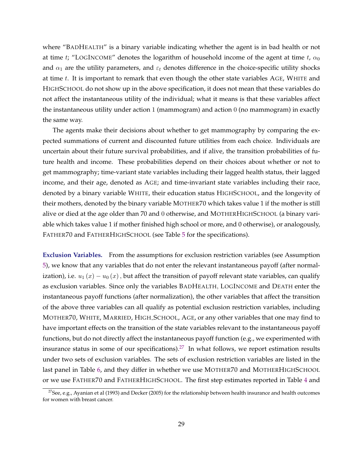where "BADHEALTH" is a binary variable indicating whether the agent is in bad health or not at time t; "LOGINCOME" denotes the logarithm of household income of the agent at time t,  $\alpha_0$ and  $\alpha_1$  are the utility parameters, and  $\varepsilon_t$  denotes difference in the choice-specific utility shocks at time  $t$ . It is important to remark that even though the other state variables  $AGE$ , WHITE and HIGHSCHOOL do not show up in the above specification, it does not mean that these variables do not affect the instantaneous utility of the individual; what it means is that these variables affect the instantaneous utility under action 1 (mammogram) and action 0 (no mammogram) in exactly the same way.

The agents make their decisions about whether to get mammography by comparing the expected summations of current and discounted future utilities from each choice. Individuals are uncertain about their future survival probabilities, and if alive, the transition probabilities of future health and income. These probabilities depend on their choices about whether or not to get mammography; time-variant state variables including their lagged health status, their lagged income, and their age, denoted as AGE; and time-invariant state variables including their race, denoted by a binary variable WHITE, their education status HIGHSCHOOL, and the longevity of their mothers, denoted by the binary variable MOTHER70 which takes value 1 if the mother is still alive or died at the age older than 70 and 0 otherwise, and MOTHERHIGHSCHOOL (a binary variable which takes value 1 if mother finished high school or more, and 0 otherwise), or analogously, FATHER70 and FATHERHIGHSCHOOL (see Table [5](#page-32-0) for the specifications).

**Exclusion Variables.** From the assumptions for exclusion restriction variables (see Assumption [5\)](#page-18-0), we know that any variables that do not enter the relevant instantaneous payoff (after normalization), i.e.  $u_1(x) - u_0(x)$ , but affect the transition of payoff relevant state variables, can qualify as exclusion variables. Since only the variables BADHEALTH, LOGINCOME and DEATH enter the instantaneous payoff functions (after normalization), the other variables that affect the transition of the above three variables can all qualify as potential exclusion restriction variables, including MOTHER70, WHITE, MARRIED, HIGH SCHOOL, AGE, or any other variables that one may find to have important effects on the transition of the state variables relevant to the instantaneous payoff functions, but do not directly affect the instantaneous payoff function (e.g., we experimented with insurance status in some of our specifications).<sup>27</sup> In what follows, we report estimation results under two sets of exclusion variables. The sets of exclusion restriction variables are listed in the last panel in Table [6,](#page-35-0) and they differ in whether we use MOTHER70 and MOTHERHIGHSCHOOL or we use FATHER70 and FATHERHIGHSCHOOL. The first step estimates reported in Table [4](#page-31-0) and

<sup>&</sup>lt;sup>27</sup>See, e.g., Ayanian et al (1993) and Decker (2005) for the relationship between health insurance and health outcomes for women with breast cancer.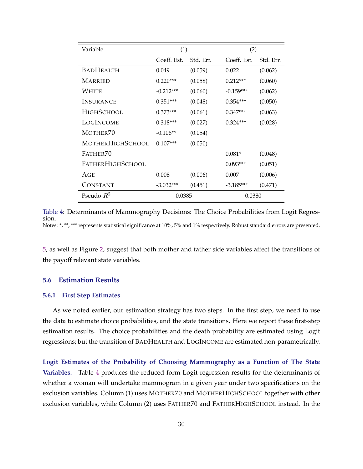<span id="page-31-0"></span>

| Variable                | (1)         |           | (2)         |           |  |
|-------------------------|-------------|-----------|-------------|-----------|--|
|                         | Coeff. Est. | Std. Err. | Coeff. Est. | Std. Err. |  |
| <b>BADHEALTH</b>        | 0.049       | (0.059)   | 0.022       | (0.062)   |  |
| MARRIED                 | $0.220***$  | (0.058)   | $0.212***$  | (0.060)   |  |
| WHITE                   | $-0.212***$ | (0.060)   | $-0.159***$ | (0.062)   |  |
| <b>INSURANCE</b>        | $0.351***$  | (0.048)   | $0.354***$  | (0.050)   |  |
| <b>HIGHSCHOOL</b>       | $0.373***$  | (0.061)   | $0.347***$  | (0.063)   |  |
| LOGINCOME               | $0.318***$  | (0.027)   | $0.324***$  | (0.028)   |  |
| MOTHER70                | $-0.106**$  | (0.054)   |             |           |  |
| <b>MOTHERHIGHSCHOOL</b> | $0.107***$  | (0.050)   |             |           |  |
| FATHER70                |             |           | $0.081*$    | (0.048)   |  |
| FATHERHIGHSCHOOL        |             |           | $0.093***$  | (0.051)   |  |
| AGE                     | 0.008       | (0.006)   | 0.007       | (0.006)   |  |
| CONSTANT                | $-3.032***$ | (0.451)   | $-3.185***$ | (0.471)   |  |
| Pseudo- $R^2$           | 0.0385      |           | 0.0380      |           |  |

Table 4: Determinants of Mammography Decisions: The Choice Probabilities from Logit Regression. Notes: \*, \*\*, \*\*\* represents statistical significance at 10%, 5% and 1% respectively. Robust standard errors are presented.

[5,](#page-32-0) as well as Figure [2,](#page-34-0) suggest that both mother and father side variables affect the transitions of the payoff relevant state variables.

#### **5.6 Estimation Results**

#### **5.6.1 First Step Estimates**

As we noted earlier, our estimation strategy has two steps. In the first step, we need to use the data to estimate choice probabilities, and the state transitions. Here we report these first-step estimation results. The choice probabilities and the death probability are estimated using Logit regressions; but the transition of BADHEALTH and LOGINCOME are estimated non-parametrically.

**Logit Estimates of the Probability of Choosing Mammography as a Function of The State Variables.** Table 4 produces the reduced form Logit regression results for the determinants of whether a woman will undertake mammogram in a given year under two specifications on the exclusion variables. Column (1) uses MOTHER70 and MOTHERHIGHSCHOOL together with other exclusion variables, while Column (2) uses FATHER70 and FATHERHIGHSCHOOL instead. In the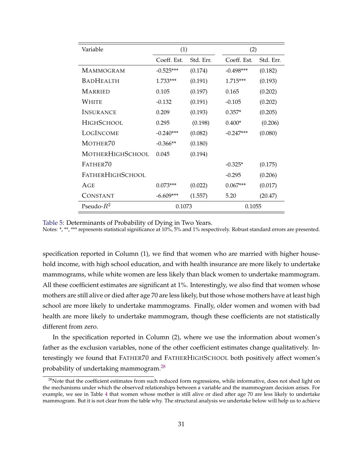<span id="page-32-0"></span>

| Variable         | (1)         |           | (2)         |           |  |
|------------------|-------------|-----------|-------------|-----------|--|
|                  | Coeff. Est. | Std. Err. | Coeff. Est. | Std. Err. |  |
| <b>MAMMOGRAM</b> | $-0.525***$ | (0.174)   | $-0.498***$ | (0.182)   |  |
| <b>BADHEALTH</b> | $1.733***$  | (0.191)   | $1.715***$  | (0.193)   |  |
| <b>MARRIED</b>   | 0.105       | (0.197)   | 0.165       | (0.202)   |  |
| White            | $-0.132$    | (0.191)   | $-0.105$    | (0.202)   |  |
| <b>INSURANCE</b> | 0.209       | (0.193)   | $0.357*$    | (0.205)   |  |
| HIGHSCHOOL       | 0.295       | (0.198)   | $0.400*$    | (0.206)   |  |
| LOGINCOME        | $-0.240***$ | (0.082)   | $-0.247***$ | (0.080)   |  |
| MOTHER70         | $-0.366**$  | (0.180)   |             |           |  |
| MOTHERHIGHSCHOOL | 0.045       | (0.194)   |             |           |  |
| FATHER70         |             |           | $-0.325*$   | (0.175)   |  |
| FATHERHIGHSCHOOL |             |           | $-0.295$    | (0.206)   |  |
| AGE              | $0.073***$  | (0.022)   | $0.067***$  | (0.017)   |  |
| CONSTANT         | $-6.609***$ | (1.557)   | 5.20        | (20.47)   |  |
| Pseudo- $R^2$    | 0.1073      |           | 0.1055      |           |  |

Table 5: Determinants of Probability of Dying in Two Years.

Notes: \*, \*\*, \*\*\* represents statistical significance at 10%, 5% and 1% respectively. Robust standard errors are presented.

specification reported in Column (1), we find that women who are married with higher household income, with high school education, and with health insurance are more likely to undertake mammograms, while white women are less likely than black women to undertake mammogram. All these coefficient estimates are significant at 1%. Interestingly, we also find that women whose mothers are still alive or died after age 70 are less likely, but those whose mothers have at least high school are more likely to undertake mammograms. Finally, older women and women with bad health are more likely to undertake mammogram, though these coefficients are not statistically different from zero.

In the specification reported in Column (2), where we use the information about women's father as the exclusion variables, none of the other coefficient estimates change qualitatively. Interestingly we found that FATHER70 and FATHERHIGHSCHOOL both positively affect women's probability of undertaking mammogram.<sup>28</sup>

 $28$ Note that the coefficient estimates from such reduced form regressions, while informative, does not shed light on the mechanisms under which the observed relationships between a variable and the mammogram decision arises. For example, we see in Table [4](#page-31-0) that women whose mother is still alive or died after age 70 are less likely to undertake mammogram. But it is not clear from the table why. The structural analysis we undertake below will help us to achieve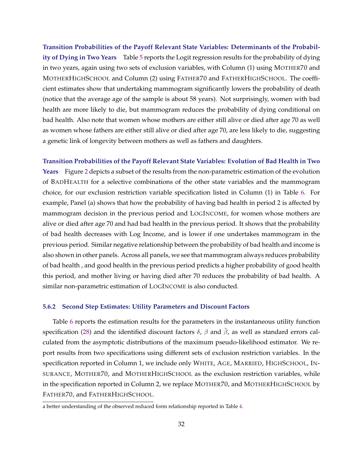**Transition Probabilities of the Payoff Relevant State Variables: Determinants of the Probability of Dying in Two Years** Table [5](#page-32-0) reports the Logit regression results for the probability of dying in two years, again using two sets of exclusion variables, with Column (1) using MOTHER70 and MOTHERHIGHSCHOOL and Column (2) using FATHER70 and FATHERHIGHSCHOOL. The coefficient estimates show that undertaking mammogram significantly lowers the probability of death (notice that the average age of the sample is about 58 years). Not surprisingly, women with bad health are more likely to die, but mammogram reduces the probability of dying conditional on bad health. Also note that women whose mothers are either still alive or died after age 70 as well as women whose fathers are either still alive or died after age 70, are less likely to die, suggesting a genetic link of longevity between mothers as well as fathers and daughters.

**Transition Probabilities of the Payoff Relevant State Variables: Evolution of Bad Health in Two Years** Figure [2](#page-34-0) depicts a subset of the results from the non-parametric estimation of the evolution of BADHEALTH for a selective combinations of the other state variables and the mammogram choice, for our exclusion restriction variable specification listed in Column (1) in Table [6.](#page-35-0) For example, Panel (a) shows that how the probability of having bad health in period 2 is affected by mammogram decision in the previous period and LOGINCOME, for women whose mothers are alive or died after age 70 and had bad health in the previous period. It shows that the probability of bad health decreases with Log Income, and is lower if one undertakes mammogram in the previous period. Similar negative relationship between the probability of bad health and income is also shown in other panels. Across all panels, we see that mammogram always reduces probability of bad health , and good health in the previous period predicts a higher probability of good health this period, and mother living or having died after 70 reduces the probability of bad health. A similar non-parametric estimation of LOGINCOME is also conducted.

#### **5.6.2 Second Step Estimates: Utility Parameters and Discount Factors**

Table [6](#page-35-0) reports the estimation results for the parameters in the instantaneous utility function specification [\(28\)](#page-29-0) and the identified discount factors  $\delta$ ,  $\beta$  and  $\tilde{\beta}$ , as well as standard errors calculated from the asymptotic distributions of the maximum pseudo-likelihood estimator. We report results from two specifications using different sets of exclusion restriction variables. In the specification reported in Column 1, we include only WHITE, AGE, MARRIED, HIGHSCHOOL, IN-SURANCE, MOTHER70, and MOTHERHIGHSCHOOL as the exclusion restriction variables, while in the specification reported in Column 2, we replace MOTHER70, and MOTHERHIGHSCHOOL by FATHER70, and FATHERHIGHSCHOOL.

a better understanding of the observed reduced form relationship reported in Table [4.](#page-31-0)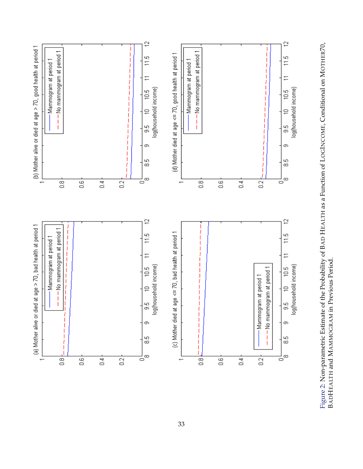<span id="page-34-0"></span>

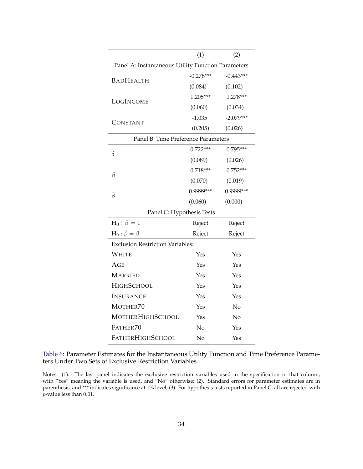<span id="page-35-0"></span>

|                                                    | (1)         | (2)         |  |  |  |
|----------------------------------------------------|-------------|-------------|--|--|--|
| Panel A: Instantaneous Utility Function Parameters |             |             |  |  |  |
| <b>BADHEALTH</b>                                   | $-0.278***$ | $-0.443***$ |  |  |  |
|                                                    | (0.084)     | (0.102)     |  |  |  |
| LOGINCOME                                          | $1.205***$  | $1.278***$  |  |  |  |
|                                                    | (0.060)     | (0.034)     |  |  |  |
| CONSTANT                                           | $-1.035$    | $-2.079***$ |  |  |  |
|                                                    | (0.205)     | (0.026)     |  |  |  |
| Panel B: Time Preference Parameters                |             |             |  |  |  |
| $\delta$                                           | $0.722***$  | $0.795***$  |  |  |  |
|                                                    | (0.089)     | (0.026)     |  |  |  |
|                                                    | $0.718***$  | $0.752***$  |  |  |  |
| $\beta$                                            | (0.070)     | (0.019)     |  |  |  |
| $\tilde{\beta}$                                    | 0.9999***   | 0.9999***   |  |  |  |
|                                                    | (0.060)     | (0.000)     |  |  |  |
| Panel C: Hypothesis Tests                          |             |             |  |  |  |
| $H_0: \beta = 1$                                   | Reject      | Reject      |  |  |  |
| $H_0: \tilde{\beta} = \beta$                       | Reject      | Reject      |  |  |  |
| <b>Exclusion Restriction Variables:</b>            |             |             |  |  |  |
| WHITE                                              | Yes         | Yes         |  |  |  |
| AGE                                                | Yes         | Yes         |  |  |  |
| MARRIED                                            | Yes         | Yes         |  |  |  |
| <b>HIGHSCHOOL</b>                                  | Yes         | Yes         |  |  |  |
| INSURANCE                                          | Yes         | Yes         |  |  |  |
| MOTHER70                                           | Yes         | No          |  |  |  |
| MOTHERHIGHSCHOOL                                   | Yes         | No          |  |  |  |
| FATHER70                                           | No          | Yes         |  |  |  |
| <b>FATHERHIGHSCHOOL</b>                            | No          | Yes         |  |  |  |

Table 6: Parameter Estimates for the Instantaneous Utility Function and Time Preference Parameters Under Two Sets of Exclusive Restriction Variables.

Notes: (1). The last panel indicates the exclusive restriction variables used in the specification in that column, with "Yes" meaning the variable is used, and "No" otherwise; (2). Standard errors for parameter estimates are in parenthesis, and \*\*\* indicates significance at 1% level; (3). For hypothesis tests reported in Panel C, all are rejected with  $\overline{p}$ -value less than 0.01.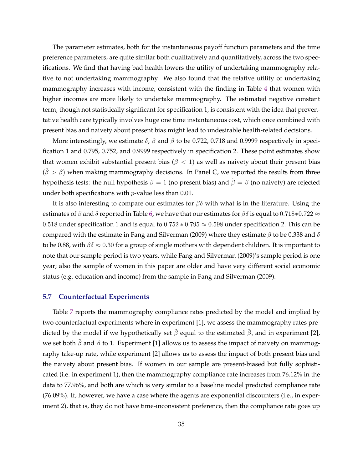The parameter estimates, both for the instantaneous payoff function parameters and the time preference parameters, are quite similar both qualitatively and quantitatively, across the two specifications. We find that having bad health lowers the utility of undertaking mammography relative to not undertaking mammography. We also found that the relative utility of undertaking mammography increases with income, consistent with the finding in Table [4](#page-31-0) that women with higher incomes are more likely to undertake mammography. The estimated negative constant term, though not statistically significant for specification 1, is consistent with the idea that preventative health care typically involves huge one time instantaneous cost, which once combined with present bias and naivety about present bias might lead to undesirable health-related decisions.

More interestingly, we estimate  $\delta$ ,  $\beta$  and  $\beta$  to be 0.722, 0.718 and 0.9999 respectively in specification 1 and 0.795, 0.752, and 0.9999 respectively in specification 2. These point estimates show that women exhibit substantial present bias ( $\beta$  < 1) as well as naivety about their present bias  $(\beta > \beta)$  when making mammography decisions. In Panel C, we reported the results from three hypothesis tests: the null hypothesis  $\beta = 1$  (no present bias) and  $\beta = \beta$  (no naivety) are rejected under both specifications with  $p$ -value less than 0.01.

It is also interesting to compare our estimates for  $\beta\delta$  with what is in the literature. Using the estimates of  $\beta$  and  $\delta$  reported in Table [6,](#page-35-0) we have that our estimates for  $\beta\delta$  is equal to 0.718∗0.722  $\approx$ 0.518 under specification 1 and is equal to  $0.752 * 0.795 \approx 0.598$  under specification 2. This can be compared with the estimate in Fang and Silverman (2009) where they estimate  $\beta$  to be 0.338 and  $\delta$ to be 0.88, with  $\beta \delta \approx 0.30$  for a group of single mothers with dependent children. It is important to note that our sample period is two years, while Fang and Silverman (2009)'s sample period is one year; also the sample of women in this paper are older and have very different social economic status (e.g. education and income) from the sample in Fang and Silverman (2009).

#### **5.7 Counterfactual Experiments**

Table [7](#page-37-0) reports the mammography compliance rates predicted by the model and implied by two counterfactual experiments where in experiment [1], we assess the mammography rates predicted by the model if we hypothetically set  $\tilde{\beta}$  equal to the estimated  $\hat{\beta}$ , and in experiment [2], we set both  $\beta$  and  $\beta$  to 1. Experiment [1] allows us to assess the impact of naivety on mammography take-up rate, while experiment [2] allows us to assess the impact of both present bias and the naivety about present bias. If women in our sample are present-biased but fully sophisticated (i.e. in experiment 1), then the mammography compliance rate increases from 76.12% in the data to 77.96%, and both are which is very similar to a baseline model predicted compliance rate (76.09%). If, however, we have a case where the agents are exponential discounters (i.e., in experiment 2), that is, they do not have time-inconsistent preference, then the compliance rate goes up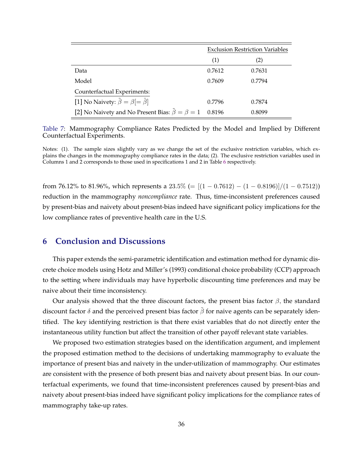<span id="page-37-0"></span>

|                                                               | <b>Exclusion Restriction Variables</b> |        |
|---------------------------------------------------------------|----------------------------------------|--------|
|                                                               | (1)                                    | (2)    |
| Data                                                          | 0.7612                                 | 0.7631 |
| Model                                                         | 0.7609                                 | 0.7794 |
| Counterfactual Experiments:                                   |                                        |        |
| [1] No Naivety: $\tilde{\beta} = \beta$ [= $\hat{\beta}$ ]    | 0.7796                                 | 0.7874 |
| [2] No Naivety and No Present Bias: $\hat{\beta} = \beta = 1$ | 0.8196                                 | 0.8099 |

Table 7: Mammography Compliance Rates Predicted by the Model and Implied by Different Counterfactual Experiments.

Notes: (1). The sample sizes slightly vary as we change the set of the exclusive restriction variables, which explains the changes in the mommography compliance rates in the data; (2). The exclusive restriction variables used in Columns 1 and 2 corresponds to those used in specifications 1 and 2 in Table [6](#page-35-0) respectively.

from 76.12% to 81.96%, which represents a 23.5% (=  $[(1 - 0.7612) - (1 - 0.8196)]/(1 - 0.7512)$ ) reduction in the mammography *noncompliance* rate. Thus, time-inconsistent preferences caused by present-bias and naivety about present-bias indeed have significant policy implications for the low compliance rates of preventive health care in the U.S.

# **6 Conclusion and Discussions**

This paper extends the semi-parametric identification and estimation method for dynamic discrete choice models using Hotz and Miller's (1993) conditional choice probability (CCP) approach to the setting where individuals may have hyperbolic discounting time preferences and may be naive about their time inconsistency.

Our analysis showed that the three discount factors, the present bias factor  $\beta$ , the standard discount factor  $\delta$  and the perceived present bias factor  $\beta$  for naive agents can be separately identified. The key identifying restriction is that there exist variables that do not directly enter the instantaneous utility function but affect the transition of other payoff relevant state variables.

We proposed two estimation strategies based on the identification argument, and implement the proposed estimation method to the decisions of undertaking mammography to evaluate the importance of present bias and naivety in the under-utilization of mammography. Our estimates are consistent with the presence of both present bias and naivety about present bias. In our counterfactual experiments, we found that time-inconsistent preferences caused by present-bias and naivety about present-bias indeed have significant policy implications for the compliance rates of mammography take-up rates.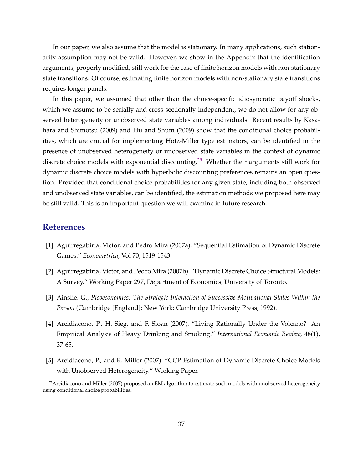In our paper, we also assume that the model is stationary. In many applications, such stationarity assumption may not be valid. However, we show in the Appendix that the identification arguments, properly modified, still work for the case of finite horizon models with non-stationary state transitions. Of course, estimating finite horizon models with non-stationary state transitions requires longer panels.

In this paper, we assumed that other than the choice-specific idiosyncratic payoff shocks, which we assume to be serially and cross-sectionally independent, we do not allow for any observed heterogeneity or unobserved state variables among individuals. Recent results by Kasahara and Shimotsu (2009) and Hu and Shum (2009) show that the conditional choice probabilities, which are crucial for implementing Hotz-Miller type estimators, can be identified in the presence of unobserved heterogeneity or unobserved state variables in the context of dynamic discrete choice models with exponential discounting.<sup>29</sup> Whether their arguments still work for dynamic discrete choice models with hyperbolic discounting preferences remains an open question. Provided that conditional choice probabilities for any given state, including both observed and unobserved state variables, can be identified, the estimation methods we proposed here may be still valid. This is an important question we will examine in future research.

### **References**

- [1] Aguirregabiria, Victor, and Pedro Mira (2007a). "Sequential Estimation of Dynamic Discrete Games." *Econometrica,* Vol 70, 1519-1543.
- [2] Aguirregabiria, Victor, and Pedro Mira (2007b). "Dynamic Discrete Choice Structural Models: A Survey." Working Paper 297, Department of Economics, University of Toronto.
- [3] Ainslie, G., *Picoeconomics: The Strategic Interaction of Successive Motivational States Within the Person* (Cambridge [England]; New York: Cambridge University Press, 1992).
- [4] Arcidiacono, P., H. Sieg, and F. Sloan (2007). "Living Rationally Under the Volcano? An Empirical Analysis of Heavy Drinking and Smoking." *International Economic Review,* 48(1), 37-65.
- [5] Arcidiacono, P., and R. Miller (2007). "CCP Estimation of Dynamic Discrete Choice Models with Unobserved Heterogeneity." Working Paper.

 $^{29}$ Arcidiacono and Miller (2007) proposed an EM algorithm to estimate such models with unobserved heterogeneity using conditional choice probabilities**.**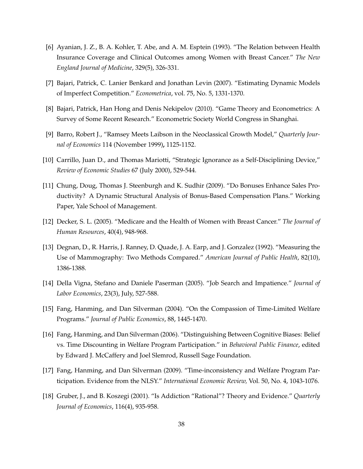- [6] Ayanian, J. Z., B. A. Kohler, T. Abe, and A. M. Esptein (1993). "The Relation between Health Insurance Coverage and Clinical Outcomes among Women with Breast Cancer." *The New England Journal of Medicine*, 329(5), 326-331.
- [7] Bajari, Patrick, C. Lanier Benkard and Jonathan Levin (2007). "Estimating Dynamic Models of Imperfect Competition." *Econometrica*, vol. 75, No. 5, 1331-1370.
- [8] Bajari, Patrick, Han Hong and Denis Nekipelov (2010). "Game Theory and Econometrics: A Survey of Some Recent Research." Econometric Society World Congress in Shanghai.
- [9] Barro, Robert J., "Ramsey Meets Laibson in the Neoclassical Growth Model," *Quarterly Journal of Economics* 114 (November 1999)**,** 1125-1152.
- [10] Carrillo, Juan D., and Thomas Mariotti, "Strategic Ignorance as a Self-Disciplining Device," *Review of Economic Studies* 67 (July 2000), 529-544.
- [11] Chung, Doug, Thomas J. Steenburgh and K. Sudhir (2009). "Do Bonuses Enhance Sales Productivity? A Dynamic Structural Analysis of Bonus-Based Compensation Plans." Working Paper, Yale School of Management.
- [12] Decker, S. L. (2005). "Medicare and the Health of Women with Breast Cancer." *The Journal of Human Resources*, 40(4), 948-968.
- [13] Degnan, D., R. Harris, J. Ranney, D. Quade, J. A. Earp, and J. Gonzalez (1992). "Measuring the Use of Mammography: Two Methods Compared." *American Journal of Public Health*, 82(10), 1386-1388.
- [14] Della Vigna, Stefano and Daniele Paserman (2005). "Job Search and Impatience." *Journal of Labor Economics*, 23(3), July, 527-588.
- [15] Fang, Hanming, and Dan Silverman (2004). "On the Compassion of Time-Limited Welfare Programs." *Journal of Public Economics*, 88, 1445-1470.
- [16] Fang, Hanming, and Dan Silverman (2006). "Distinguishing Between Cognitive Biases: Belief vs. Time Discounting in Welfare Program Participation." in *Behavioral Public Finance*, edited by Edward J. McCaffery and Joel Slemrod, Russell Sage Foundation.
- [17] Fang, Hanming, and Dan Silverman (2009). "Time-inconsistency and Welfare Program Participation. Evidence from the NLSY." *International Economic Review,* Vol. 50, No. 4, 1043-1076.
- [18] Gruber, J., and B. Koszegi (2001). "Is Addiction "Rational"? Theory and Evidence." *Quarterly Journal of Economics*, 116(4), 935-958.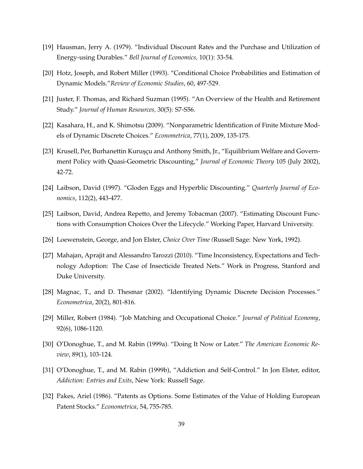- [19] Hausman, Jerry A. (1979). "Individual Discount Rates and the Purchase and Utilization of Energy-using Durables." *Bell Journal of Economics,* 10(1): 33-54.
- [20] Hotz, Joseph, and Robert Miller (1993). "Conditional Choice Probabilities and Estimation of Dynamic Models."*Review of Economic Studies*, 60, 497-529.
- [21] Juster, F. Thomas, and Richard Suzman (1995). "An Overview of the Health and Retirement Study." *Journal of Human Resources,* 30(5): S7-S56.
- [22] Kasahara, H., and K. Shimotsu (2009). "Nonparametric Identification of Finite Mixture Models of Dynamic Discrete Choices." *Econometrica*, 77(1), 2009, 135-175.
- [23] Krusell, Per, Burhanettin Kurusçu and Anthony Smith, Jr., "Equilibrium Welfare and Government Policy with Quasi-Geometric Discounting," *Journal of Economic Theory* 105 (July 2002), 42-72.
- [24] Laibson, David (1997). "Gloden Eggs and Hyperblic Discounting." *Quarterly Journal of Economics*, 112(2), 443-477.
- [25] Laibson, David, Andrea Repetto, and Jeremy Tobacman (2007). "Estimating Discount Functions with Consumption Choices Over the Lifecycle." Working Paper, Harvard University.
- [26] Loewenstein, George, and Jon Elster, *Choice Over Time (*Russell Sage: New York, 1992).
- [27] Mahajan, Aprajit and Alessandro Tarozzi (2010). "Time Inconsistency, Expectations and Technology Adoption: The Case of Insecticide Treated Nets." Work in Progress, Stanford and Duke University.
- [28] Magnac, T., and D. Thesmar (2002). "Identifying Dynamic Discrete Decision Processes." *Econometrica*, 20(2), 801-816.
- [29] Miller, Robert (1984). "Job Matching and Occupational Choice." *Journal of Political Economy*, 92(6), 1086-1120.
- [30] O'Donoghue, T., and M. Rabin (1999a). "Doing It Now or Later." *The American Economic Review*, 89(1), 103-124.
- [31] O'Donoghue, T., and M. Rabin (1999b), "Addiction and Self-Control." In Jon Elster, editor, *Addiction: Entries and Exits*, New York: Russell Sage.
- [32] Pakes, Ariel (1986). "Patents as Options. Some Estimates of the Value of Holding European Patent Stocks." *Econometrica*, 54, 755-785.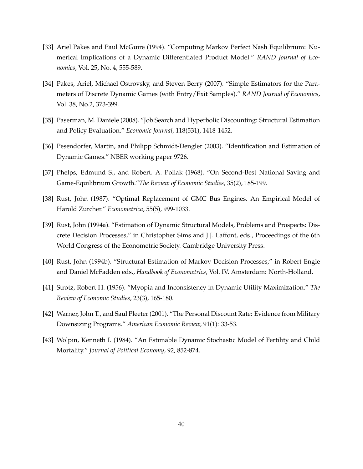- [33] Ariel Pakes and Paul McGuire (1994). "Computing Markov Perfect Nash Equilibrium: Numerical Implications of a Dynamic Differentiated Product Model." *RAND Journal of Economics*, Vol. 25, No. 4, 555-589.
- [34] Pakes, Ariel, Michael Ostrovsky, and Steven Berry (2007). "Simple Estimators for the Parameters of Discrete Dynamic Games (with Entry/Exit Samples)." *RAND Journal of Economics*, Vol. 38, No.2, 373-399.
- [35] Paserman, M. Daniele (2008). "Job Search and Hyperbolic Discounting: Structural Estimation and Policy Evaluation." *Economic Journal,* 118(531), 1418-1452.
- [36] Pesendorfer, Martin, and Philipp Schmidt-Dengler (2003). "Identification and Estimation of Dynamic Games." NBER working paper 9726.
- [37] Phelps, Edmund S., and Robert. A. Pollak (1968). "On Second-Best National Saving and Game-Equilibrium Growth."*The Review of Economic Studies*, 35(2), 185-199.
- [38] Rust, John (1987). "Optimal Replacement of GMC Bus Engines. An Empirical Model of Harold Zurcher." *Econometrica*, 55(5), 999-1033.
- [39] Rust, John (1994a). "Estimation of Dynamic Structural Models, Problems and Prospects: Discrete Decision Processes," in Christopher Sims and J.J. Laffont, eds., Proceedings of the 6th World Congress of the Econometric Society. Cambridge University Press.
- [40] Rust, John (1994b). "Structural Estimation of Markov Decision Processes," in Robert Engle and Daniel McFadden eds., *Handbook of Econometrics*, Vol. IV. Amsterdam: North-Holland.
- [41] Strotz, Robert H. (1956). "Myopia and Inconsistency in Dynamic Utility Maximization." *The Review of Economic Studies*, 23(3), 165-180.
- [42] Warner, John T., and Saul Pleeter (2001). "The Personal Discount Rate: Evidence from Military Downsizing Programs." *American Economic Review,* 91(1): 33-53.
- [43] Wolpin, Kenneth I. (1984). "An Estimable Dynamic Stochastic Model of Fertility and Child Mortality." *Journal of Political Economy*, 92, 852-874.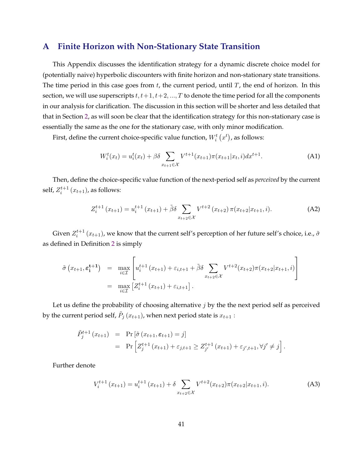# <span id="page-42-0"></span>**A Finite Horizon with Non-Stationary State Transition**

This Appendix discusses the identification strategy for a dynamic discrete choice model for (potentially naive) hyperbolic discounters with finite horizon and non-stationary state transitions. The time period in this case goes from  $t$ , the current period, until  $T$ , the end of horizon. In this section, we will use superscripts  $t, t+1, t+2, ..., T$  to denote the time period for all the components in our analysis for clarification. The discussion in this section will be shorter and less detailed that that in Section [2,](#page-6-0) as will soon be clear that the identification strategy for this non-stationary case is essentially the same as the one for the stationary case, with only minor modification.

First, define the current choice-specific value function,  $W_i^t\left(x^t\right)$ , as follows:

$$
W_i^t(x_t) = u_i^t(x_t) + \beta \delta \sum_{x_{t+1} \in \mathcal{X}} V^{t+1}(x_{t+1}) \pi(x_{t+1}|x_t, i) dx^{t+1}.
$$
 (A1)

Then, define the choice-specific value function of the next-period self as *perceived* by the current self,  $Z_i^{t+1}(x_{t+1})$ , as follows:

$$
Z_{i}^{t+1}(x_{t+1}) = u_{i}^{t+1}(x_{t+1}) + \tilde{\beta}\delta \sum_{x_{t+2} \in \mathcal{X}} V^{t+2}(x_{t+2}) \pi(x_{t+2}|x_{t+1}, i).
$$
 (A2)

Given  $Z_i^{t+1}\left(x_{t+1}\right)$ , we know that the current self's perception of her future self's choice, i.e.,  $\tilde{\sigma}$ as defined in Definition [2](#page-8-0) is simply

$$
\tilde{\sigma}(x_{t+1}, \varepsilon_i^{t+1}) = \max_{i \in \mathcal{I}} \left[ u_i^{t+1}(x_{t+1}) + \varepsilon_{i,t+1} + \tilde{\beta} \delta \sum_{x_{t+2} \in \mathcal{X}} V^{t+2}(x_{t+2}) \pi(x_{t+2} | x_{t+1}, i) \right]
$$
  
= 
$$
\max_{i \in \mathcal{I}} \left[ Z_i^{t+1}(x_{t+1}) + \varepsilon_{i,t+1} \right].
$$

Let us define the probability of choosing alternative  $j$  by the the next period self as perceived by the current period self,  $\tilde{P}_j\left(x_{t+1}\right)$ , when next period state is  $x_{t+1}$  :

$$
\tilde{P}_{j}^{t+1}(x_{t+1}) = \Pr[\tilde{\sigma}(x_{t+1}, \varepsilon_{t+1}) = j] \n= \Pr\left[Z_{j}^{t+1}(x_{t+1}) + \varepsilon_{j,t+1} \ge Z_{j'}^{t+1}(x_{t+1}) + \varepsilon_{j',t+1}, \forall j' \ne j\right].
$$

Further denote

$$
V_i^{t+1}(x_{t+1}) = u_i^{t+1}(x_{t+1}) + \delta \sum_{x_{t+2} \in \mathcal{X}} V^{t+2}(x_{t+2}) \pi(x_{t+2} | x_{t+1}, i).
$$
 (A3)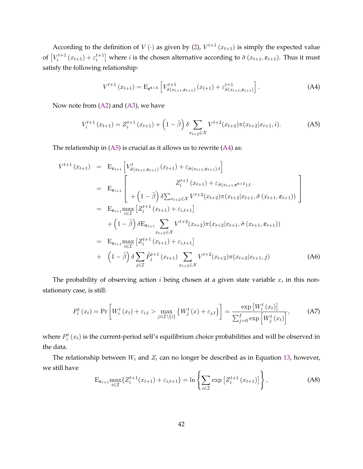<span id="page-43-0"></span>According to the definition of  $V(\cdot)$  as given by [\(2\)](#page-7-0),  $V^{t+1}(x_{t+1})$  is simply the expected value of  $[V_i^{t+1}(x_{t+1}) + \varepsilon_i^{t+1}]$  where *i* is the chosen alternative according to  $\tilde{\sigma}(x_{t+1}, \varepsilon_{t+1})$ . Thus it must satisfy the following relationship:

$$
V^{t+1}(x_{t+1}) = \mathcal{E}_{\varepsilon^{t+1}} \left[ V^{t+1}_{\tilde{\sigma}(x_{t+1}, \varepsilon_{t+1})} (x_{t+1}) + \varepsilon^{t+1}_{\tilde{\sigma}(x_{t+1}, \varepsilon_{t+1})} \right]. \tag{A4}
$$

Now note from  $(A2)$  and  $(A3)$ , we have

$$
V_i^{t+1}(x_{t+1}) = Z_i^{t+1}(x_{t+1}) + \left(1 - \tilde{\beta}\right) \delta \sum_{x_{t+2} \in \mathcal{X}} V^{t+2}(x_{t+2}) \pi(x_{t+2} | x_{t+1}, i). \tag{A5}
$$

The relationship in  $(A5)$  is crucial as it allows us to rewrite  $(A4)$  as:

$$
V^{t+1}(x_{t+1}) = \mathbf{E}_{\varepsilon_{t+1}} \left[ V^t_{\tilde{\sigma}(x_{t+1}, \varepsilon_{t+1})}(x_{t+1}) + \varepsilon_{\tilde{\sigma}(x_{t+1}, \varepsilon_{t+1}), t} \right]
$$
  
\n
$$
= \mathbf{E}_{\varepsilon_{t+1}} \left[ \begin{array}{c} Z^{t+1}_{i}(x_{t+1}) + \varepsilon_{\tilde{\sigma}(x_{t+1}, \varepsilon^{t+1}), t} \\ + \left(1 - \tilde{\beta}\right) \delta \sum_{x_{t+2} \in \mathcal{X}} V^{t+2}(x_{t+2}) \pi(x_{t+2} | x_{t+1}, \tilde{\sigma}(x_{t+1}, \varepsilon_{t+1})) \end{array} \right]
$$
  
\n
$$
= \mathbf{E}_{\varepsilon_{t+1}} \max_{i \in \mathcal{I}} \left[ Z^{t+1}_{i}(x_{t+1}) + \varepsilon_{i, t+1} \right]
$$
  
\n
$$
+ \left(1 - \tilde{\beta}\right) \delta \mathbf{E}_{\varepsilon_{t+1}} \sum_{x_{t+2} \in \mathcal{X}} V^{t+2}(x_{t+2}) \pi(x_{t+2} | x_{t+1}, \tilde{\sigma}(x_{t+1}, \varepsilon_{t+1}))
$$
  
\n
$$
= \mathbf{E}_{\varepsilon_{t+1}} \max_{i \in \mathcal{I}} \left[ Z^{t+1}_{i}(x_{t+1}) + \varepsilon_{i, t+1} \right]
$$
  
\n
$$
+ \left(1 - \tilde{\beta}\right) \delta \sum_{j \in \mathcal{I}} \tilde{P}^{t+1}_{j}(x_{t+1}) \sum_{x_{t+2} \in \mathcal{X}} V^{t+2}(x_{t+2}) \pi(x_{t+2} | x_{t+1}, j) \qquad (A6)
$$

The probability of observing action  $i$  being chosen at a given state variable  $x$ , in this nonstationary case, is still:

$$
P_i^t(x_t) = \Pr\left[W_i^t(x_t) + \varepsilon_{i,t} > \max_{j \in \mathcal{I} \setminus \{i\}} \{W_j^t(x) + \varepsilon_{j,t}\}\right] = \frac{\exp\left[W_i^t(x_t)\right]}{\sum_{j=0}^I \exp\left[W_j^t(x_t)\right]},\tag{A7}
$$

where  $P_i^t(x_t)$  is the current-period self's equilibrium choice probabilities and will be observed in the data.

The relationship between  $W_i$  and  $Z_i$  can no longer be described as in Equation [13,](#page-12-0) however, we still have

$$
\mathcal{E}_{\varepsilon_{t+1}} \max_{i \in \mathcal{I}} \{ Z_i^{t+1}(x_{t+1}) + \varepsilon_{i,t+1} \} = \ln \left\{ \sum_{i \in \mathcal{I}} \exp \left[ Z_i^{t+1}(x_{t+1}) \right] \right\},
$$
 (A8)